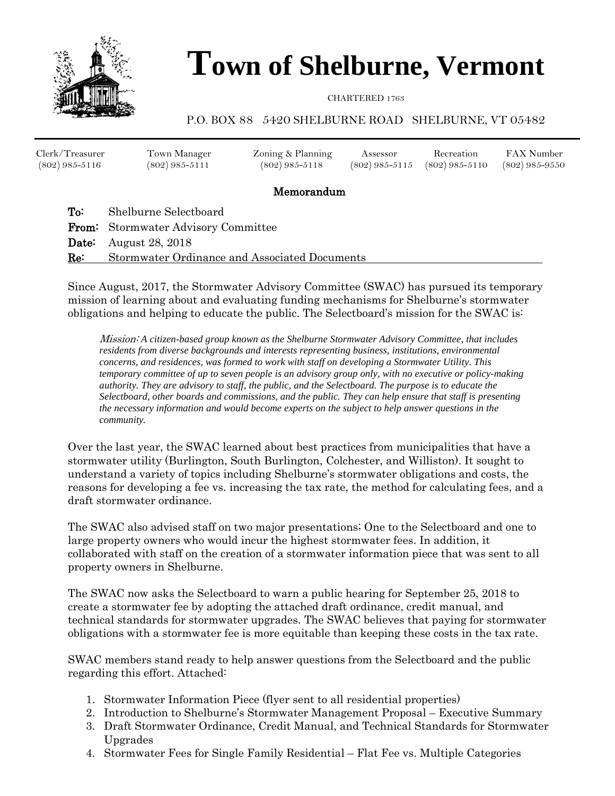

# **Town of Shelburne, Vermont**

CHARTERED 1763

#### P.O. BOX 88 5420 SHELBURNE ROAD SHELBURNE, VT 05482

| Clerk/Treasurer  | Town Manager     | Zoning & Planning | Assessor | Recreation                        | FAX Number       |
|------------------|------------------|-------------------|----------|-----------------------------------|------------------|
| $(802)$ 985-5116 | $(802)$ 985-5111 | $(802)$ 985-5118  |          | $(802)$ 985-5115 $(802)$ 985-5110 | $(802)$ 985-9550 |
|                  |                  |                   |          |                                   |                  |

#### Memorandum

To: Shelburne Selectboard From: Stormwater Advisory Committee **Date:** August 28, 2018 Re: Stormwater Ordinance and Associated Documents

Since August, 2017, the Stormwater Advisory Committee (SWAC) has pursued its temporary mission of learning about and evaluating funding mechanisms for Shelburne's stormwater obligations and helping to educate the public. The Selectboard's mission for the SWAC is:

Mission: *A citizen-based group known as the Shelburne Stormwater Advisory Committee, that includes residents from diverse backgrounds and interests representing business, institutions, environmental concerns, and residences, was formed to work with staff on developing a Stormwater Utility. This temporary committee of up to seven people is an advisory group only, with no executive or policy-making authority. They are advisory to staff, the public, and the Selectboard. The purpose is to educate the Selectboard, other boards and commissions, and the public. They can help ensure that staff is presenting the necessary information and would become experts on the subject to help answer questions in the community.*

Over the last year, the SWAC learned about best practices from municipalities that have a stormwater utility (Burlington, South Burlington, Colchester, and Williston). It sought to understand a variety of topics including Shelburne's stormwater obligations and costs, the reasons for developing a fee vs. increasing the tax rate, the method for calculating fees, and a draft stormwater ordinance.

The SWAC also advised staff on two major presentations; One to the Selectboard and one to large property owners who would incur the highest stormwater fees. In addition, it collaborated with staff on the creation of a stormwater information piece that was sent to all property owners in Shelburne.

The SWAC now asks the Selectboard to warn a public hearing for September 25, 2018 to create a stormwater fee by adopting the attached draft ordinance, credit manual, and technical standards for stormwater upgrades. The SWAC believes that paying for stormwater obligations with a stormwater fee is more equitable than keeping these costs in the tax rate.

SWAC members stand ready to help answer questions from the Selectboard and the public regarding this effort. Attached:

- 1. Stormwater Information Piece (flyer sent to all residential properties)
- 2. Introduction to Shelburne's Stormwater Management Proposal Executive Summary
- 3. Draft Stormwater Ordinance, Credit Manual, and Technical Standards for Stormwater Upgrades
- 4. Stormwater Fees for Single Family Residential Flat Fee vs. Multiple Categories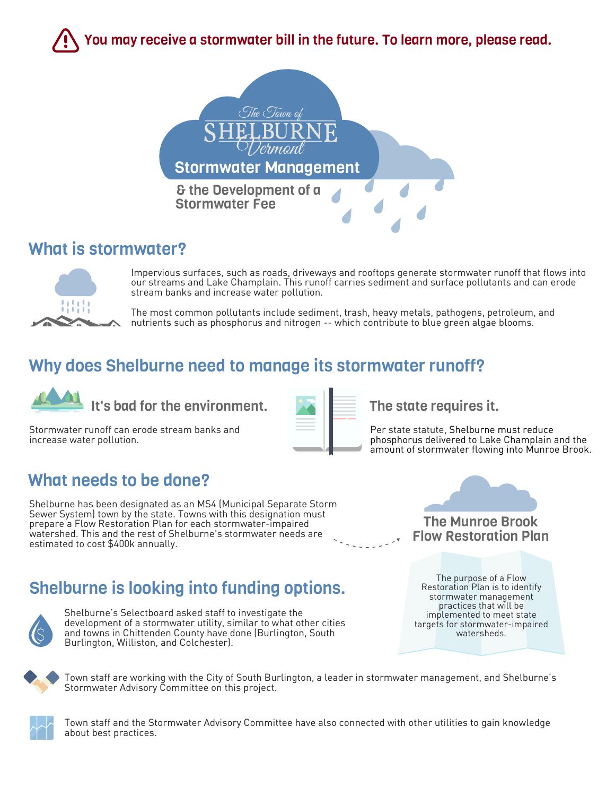You may receive a stormwater bill in the future. To learn more, please read.



### What is stormwater?



Impervious surfaces, such as roads, driveways and rooftops generate stormwater runoff that flows into our streams and Lake Champlain. This runoff carries sediment and surface pollutants and can erode stream banks and increase water pollution.

The most common pollutants include sediment, trash, heavy metals, pathogens, petroleum, and nutrients such as phosphorus and nitrogen -- which contribute to blue green algae blooms.

### Why does Shelburne need to manage its stormwater runoff?



It's bad for the environment.  $\mathbf{X}$   $\mathbf{F}$  The state requires it.

Stormwater runoff can erode stream banks and increase water pollution.



Per state statute, Shelburne must reduce phosphorus delivered to Lake Champlain and the amount of stormwater flowing into Munroe Brook.

### What needs to be done?

Shelburne has been designated as an MS4 (Municipal Separate Storm Sewer System) town by the state. Towns with this designation must prepare a Flow Restoration Plan for each stormwater-impaired watershed. This and the rest of Shelburne's stormwater needs are estimated to cost \$400k annually.

## Shelburne is looking into funding options.



Shelburne's Selectboard asked staff to investigate the development of a stormwater utility, similar to what other cities and towns in Chittenden County have done (Burlington, South Burlington, Williston, and Colchester).

The purpose of a Flow Restoration Plan is to identify stormwater management practices that will be implemented to meet state targets for stormwater-impaired

watersheds.

The Munroe Brook Flow Restoration Plan

Town staff are working with the City of South Burlington, a leader in stormwater management, and Shelburne's Stormwater Advisory Committee on this project.



Town staff and the Stormwater Advisory Committee have also connected with other utilities to gain knowledge about best practices.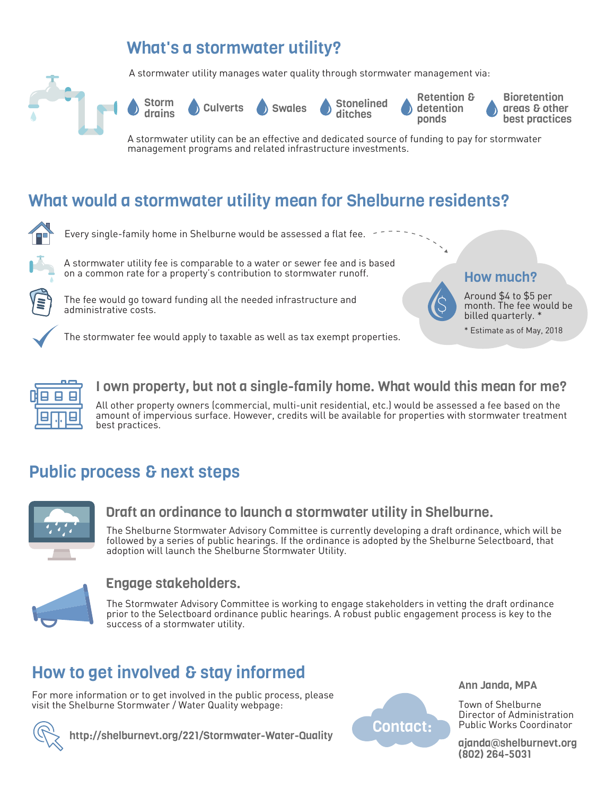### What's a stormwater utility?

A stormwater utility manages water quality through stormwater management via:





Storm<br>drains

ditches

Retention & detention ponds

**Bioretention** areas & other best practices

A stormwater utility can be an effective and dedicated source of funding to pay for stormwater management programs and related infrastructure investments.

## What would a stormwater utility mean for Shelburne residents?



Every single-family home in Shelburne would be assessed a flat fee.



A stormwater utility fee is comparable to a water or sewer fee and is based on a common rate for a property's contribution to stormwater runoff.

The stormwater fee would apply to taxable as well as tax exempt properties.



The fee would go toward funding all the needed infrastructure and administrative costs.



Around \$4 to \$5 per month. The fee would be billed quarterly. \*

\* Estimate as of May, 2018



#### I own property, but not a single-family home. What would this mean for me?

All other property owners (commercial, multi-unit residential, etc.) would be assessed a fee based on the amount of impervious surface. However, credits will be available for properties with stormwater treatment best practices.

## Public process & next steps



#### Draft an ordinance to launch a stormwater utility in Shelburne.

The Shelburne Stormwater Advisory Committee is currently developing a draft ordinance, which will be followed by a series of public hearings. If the ordinance is adopted by the Shelburne Selectboard, that adoption will launch the Shelburne Stormwater Utility.



#### Engage stakeholders.

The Stormwater Advisory Committee is working to engage stakeholders in vetting the draft ordinance prior to the Selectboard ordinance public hearings. A robust public engagement process is key to the success of a stormwater utility.

## How to get involved & stay informed

For more information or to get involved in the public process, please visit the Shelburne Stormwater / Water Quality webpage:





Ann Janda, MPA

Town of Shelburne Director of Administration Public Works Coordinator

ajanda@shelburnevt.org (802) 264-5031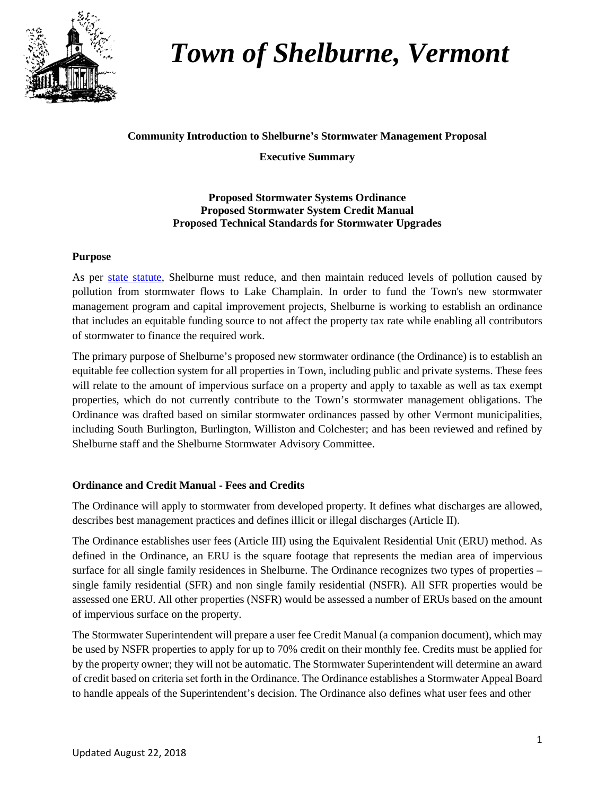

## *Town of Shelburne, Vermont*

#### **Community Introduction to Shelburne's Stormwater Management Proposal**

**Executive Summary** 

#### **Proposed Stormwater Systems Ordinance Proposed Stormwater System Credit Manual Proposed Technical Standards for Stormwater Upgrades**

#### **Purpose**

As per [state statute,](http://dec.vermont.gov/sites/dec/files/wsm/erp/docs/20161205_CWI-municipalities-fact-sheet-2016.pdf) Shelburne must reduce, and then maintain reduced levels of pollution caused by pollution from stormwater flows to Lake Champlain. In order to fund the Town's new stormwater management program and capital improvement projects, Shelburne is working to establish an ordinance that includes an equitable funding source to not affect the property tax rate while enabling all contributors of stormwater to finance the required work.

The primary purpose of Shelburne's proposed new stormwater ordinance (the Ordinance) is to establish an equitable fee collection system for all properties in Town, including public and private systems. These fees will relate to the amount of impervious surface on a property and apply to taxable as well as tax exempt properties, which do not currently contribute to the Town's stormwater management obligations. The Ordinance was drafted based on similar stormwater ordinances passed by other Vermont municipalities, including South Burlington, Burlington, Williston and Colchester; and has been reviewed and refined by Shelburne staff and the Shelburne Stormwater Advisory Committee.

#### **Ordinance and Credit Manual - Fees and Credits**

The Ordinance will apply to stormwater from developed property. It defines what discharges are allowed, describes best management practices and defines illicit or illegal discharges (Article II).

The Ordinance establishes user fees (Article III) using the Equivalent Residential Unit (ERU) method. As defined in the Ordinance, an ERU is the square footage that represents the median area of impervious surface for all single family residences in Shelburne. The Ordinance recognizes two types of properties – single family residential (SFR) and non single family residential (NSFR). All SFR properties would be assessed one ERU. All other properties (NSFR) would be assessed a number of ERUs based on the amount of impervious surface on the property.

The Stormwater Superintendent will prepare a user fee Credit Manual (a companion document), which may be used by NSFR properties to apply for up to 70% credit on their monthly fee. Credits must be applied for by the property owner; they will not be automatic. The Stormwater Superintendent will determine an award of credit based on criteria set forth in the Ordinance. The Ordinance establishes a Stormwater Appeal Board to handle appeals of the Superintendent's decision. The Ordinance also defines what user fees and other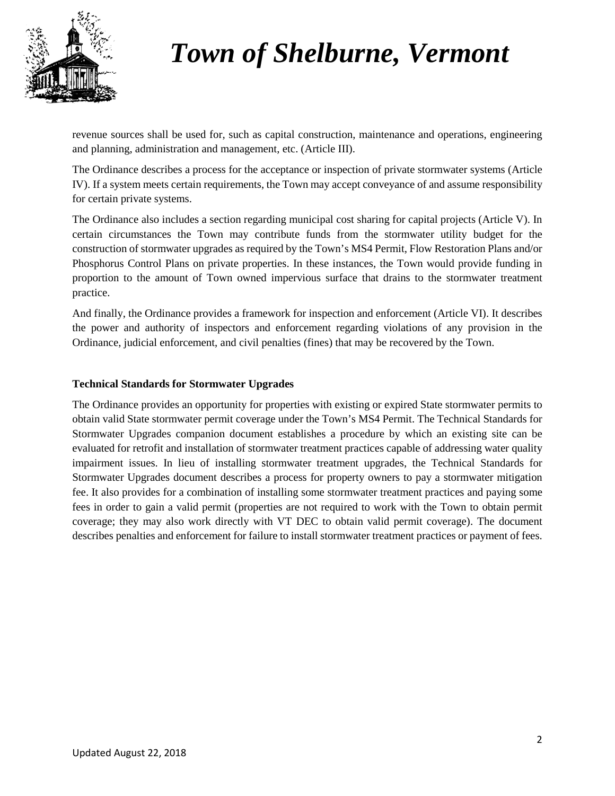

## *Town of Shelburne, Vermont*

revenue sources shall be used for, such as capital construction, maintenance and operations, engineering and planning, administration and management, etc. (Article III).

The Ordinance describes a process for the acceptance or inspection of private stormwater systems (Article IV). If a system meets certain requirements, the Town may accept conveyance of and assume responsibility for certain private systems.

The Ordinance also includes a section regarding municipal cost sharing for capital projects (Article V). In certain circumstances the Town may contribute funds from the stormwater utility budget for the construction of stormwater upgrades as required by the Town's MS4 Permit, Flow Restoration Plans and/or Phosphorus Control Plans on private properties. In these instances, the Town would provide funding in proportion to the amount of Town owned impervious surface that drains to the stormwater treatment practice.

And finally, the Ordinance provides a framework for inspection and enforcement (Article VI). It describes the power and authority of inspectors and enforcement regarding violations of any provision in the Ordinance, judicial enforcement, and civil penalties (fines) that may be recovered by the Town.

#### **Technical Standards for Stormwater Upgrades**

The Ordinance provides an opportunity for properties with existing or expired State stormwater permits to obtain valid State stormwater permit coverage under the Town's MS4 Permit. The Technical Standards for Stormwater Upgrades companion document establishes a procedure by which an existing site can be evaluated for retrofit and installation of stormwater treatment practices capable of addressing water quality impairment issues. In lieu of installing stormwater treatment upgrades, the Technical Standards for Stormwater Upgrades document describes a process for property owners to pay a stormwater mitigation fee. It also provides for a combination of installing some stormwater treatment practices and paying some fees in order to gain a valid permit (properties are not required to work with the Town to obtain permit coverage; they may also work directly with VT DEC to obtain valid permit coverage). The document describes penalties and enforcement for failure to install stormwater treatment practices or payment of fees.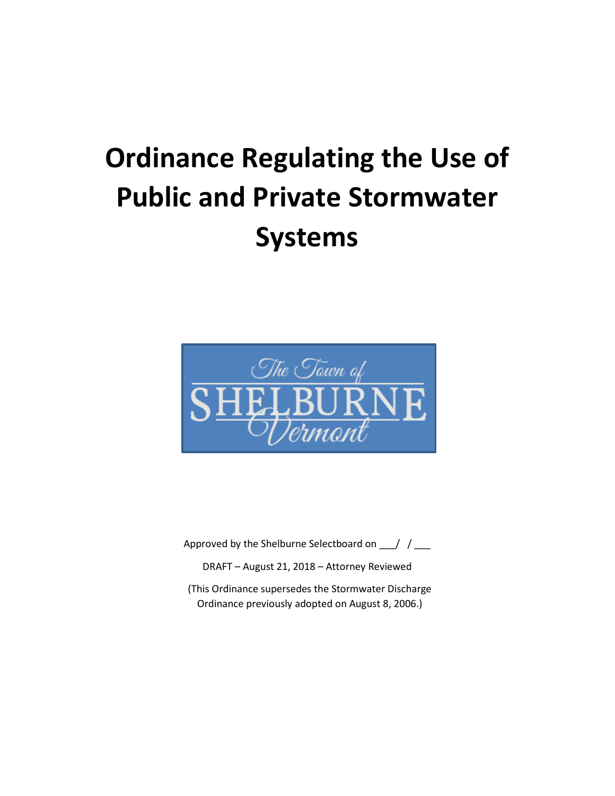# **Ordinance Regulating the Use of Public and Private Stormwater Systems**



Approved by the Shelburne Selectboard on \_\_\_/ / \_\_\_

DRAFT – August 21, 2018 – Attorney Reviewed

(This Ordinance supersedes the Stormwater Discharge Ordinance previously adopted on August 8, 2006.)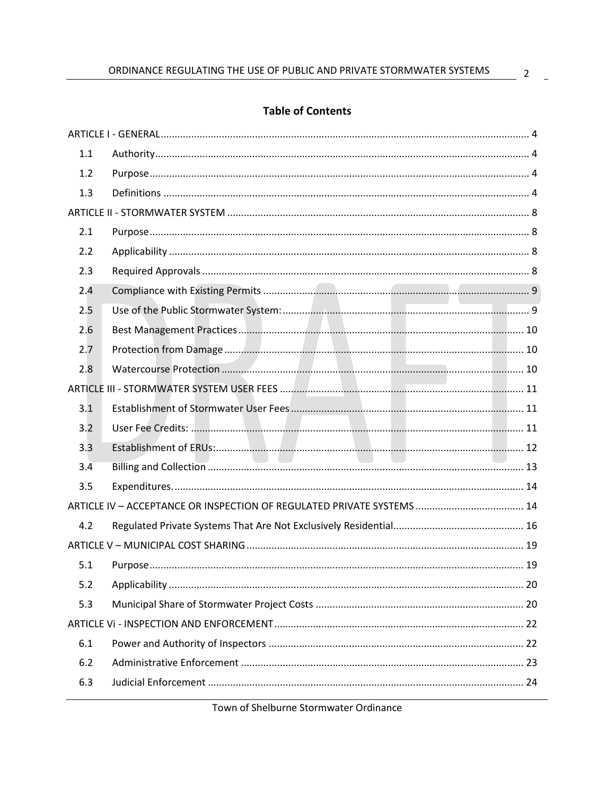#### **Table of Contents**

| 1.1 |  |
|-----|--|
| 1.2 |  |
| 1.3 |  |
|     |  |
| 2.1 |  |
| 2.2 |  |
| 2.3 |  |
| 2.4 |  |
| 2.5 |  |
| 2.6 |  |
| 2.7 |  |
| 2.8 |  |
|     |  |
| 3.1 |  |
| 3.2 |  |
| 3.3 |  |
| 3.4 |  |
| 3.5 |  |
|     |  |
| 4.2 |  |
|     |  |
| 5.1 |  |
| 5.2 |  |
| 5.3 |  |
|     |  |
| 6.1 |  |
| 6.2 |  |
| 6.3 |  |
|     |  |

Town of Shelburne Stormwater Ordinance

 $\mathbb{R}^2$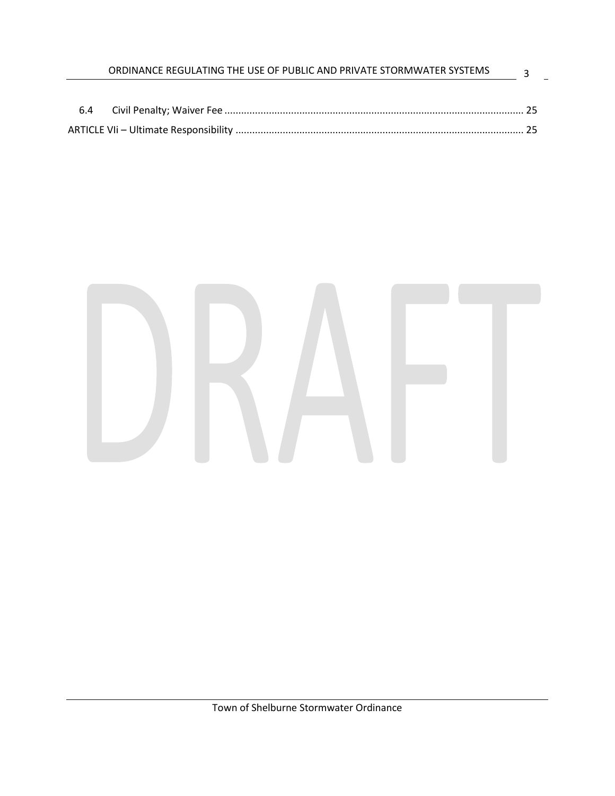|     | ORDINANCE REGULATING THE USE OF PUBLIC AND PRIVATE STORMWATER SYSTEMS |  |
|-----|-----------------------------------------------------------------------|--|
|     |                                                                       |  |
| 6.4 |                                                                       |  |
|     |                                                                       |  |

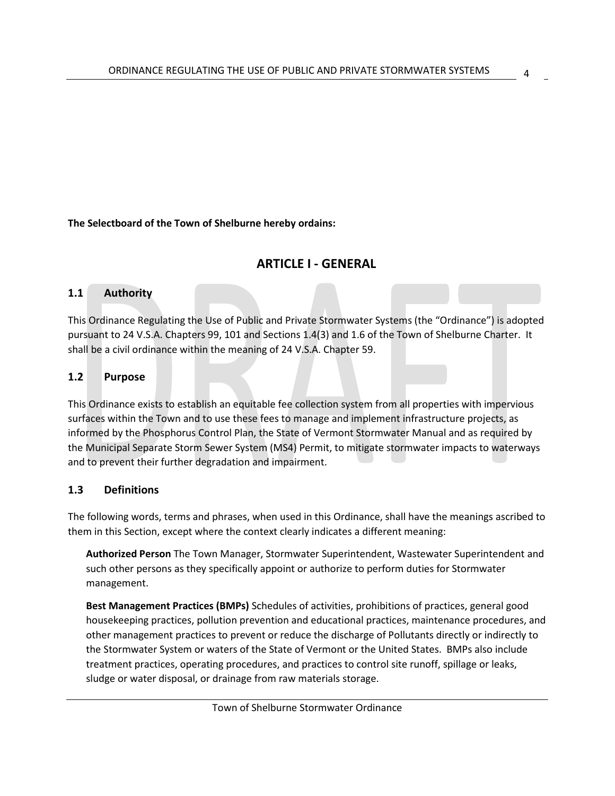4

<span id="page-8-0"></span>**The Selectboard of the Town of Shelburne hereby ordains:**

#### **ARTICLE I - GENERAL**

#### <span id="page-8-1"></span>**1.1 Authority**

This Ordinance Regulating the Use of Public and Private Stormwater Systems (the "Ordinance") is adopted pursuant to 24 V.S.A. Chapters 99, 101 and Sections 1.4(3) and 1.6 of the Town of Shelburne Charter. It shall be a civil ordinance within the meaning of 24 V.S.A. Chapter 59.

#### <span id="page-8-2"></span>**1.2 Purpose**

This Ordinance exists to establish an equitable fee collection system from all properties with impervious surfaces within the Town and to use these fees to manage and implement infrastructure projects, as informed by the Phosphorus Control Plan, the State of Vermont Stormwater Manual and as required by the Municipal Separate Storm Sewer System (MS4) Permit, to mitigate stormwater impacts to waterways and to prevent their further degradation and impairment.

#### <span id="page-8-3"></span>**1.3 Definitions**

The following words, terms and phrases, when used in this Ordinance, shall have the meanings ascribed to them in this Section, except where the context clearly indicates a different meaning:

**Authorized Person** The Town Manager, Stormwater Superintendent, Wastewater Superintendent and such other persons as they specifically appoint or authorize to perform duties for Stormwater management.

**Best Management Practices (BMPs)** Schedules of activities, prohibitions of practices, general good housekeeping practices, pollution prevention and educational practices, maintenance procedures, and other management practices to prevent or reduce the discharge of Pollutants directly or indirectly to the Stormwater System or waters of the State of Vermont or the United States. BMPs also include treatment practices, operating procedures, and practices to control site runoff, spillage or leaks, sludge or water disposal, or drainage from raw materials storage.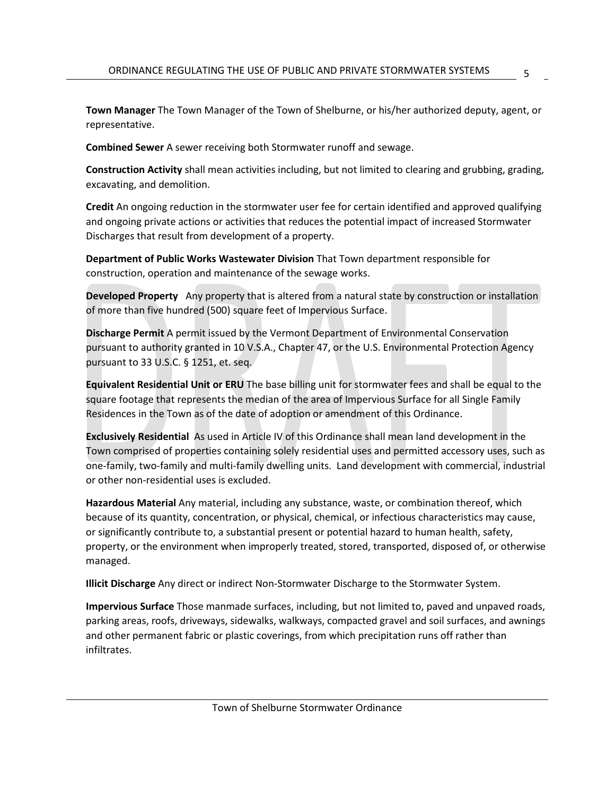**Town Manager** The Town Manager of the Town of Shelburne, or his/her authorized deputy, agent, or representative.

5

**Combined Sewer** A sewer receiving both Stormwater runoff and sewage.

**Construction Activity** shall mean activities including, but not limited to clearing and grubbing, grading, excavating, and demolition.

**Credit** An ongoing reduction in the stormwater user fee for certain identified and approved qualifying and ongoing private actions or activities that reduces the potential impact of increased Stormwater Discharges that result from development of a property.

**Department of Public Works Wastewater Division** That Town department responsible for construction, operation and maintenance of the sewage works.

**Developed Property** Any property that is altered from a natural state by construction or installation of more than five hundred (500) square feet of Impervious Surface.

**Discharge Permit** A permit issued by the Vermont Department of Environmental Conservation pursuant to authority granted in 10 V.S.A., Chapter 47, or the U.S. Environmental Protection Agency pursuant to 33 U.S.C. § 1251, et. seq.

**Equivalent Residential Unit or ERU** The base billing unit for stormwater fees and shall be equal to the square footage that represents the median of the area of Impervious Surface for all Single Family Residences in the Town as of the date of adoption or amendment of this Ordinance.

**Exclusively Residential** As used in Article IV of this Ordinance shall mean land development in the Town comprised of properties containing solely residential uses and permitted accessory uses, such as one-family, two-family and multi-family dwelling units. Land development with commercial, industrial or other non-residential uses is excluded.

**Hazardous Material** Any material, including any substance, waste, or combination thereof, which because of its quantity, concentration, or physical, chemical, or infectious characteristics may cause, or significantly contribute to, a substantial present or potential hazard to human health, safety, property, or the environment when improperly treated, stored, transported, disposed of, or otherwise managed.

**Illicit Discharge** Any direct or indirect Non-Stormwater Discharge to the Stormwater System.

**Impervious Surface** Those manmade surfaces, including, but not limited to, paved and unpaved roads, parking areas, roofs, driveways, sidewalks, walkways, compacted gravel and soil surfaces, and awnings and other permanent fabric or plastic coverings, from which precipitation runs off rather than infiltrates.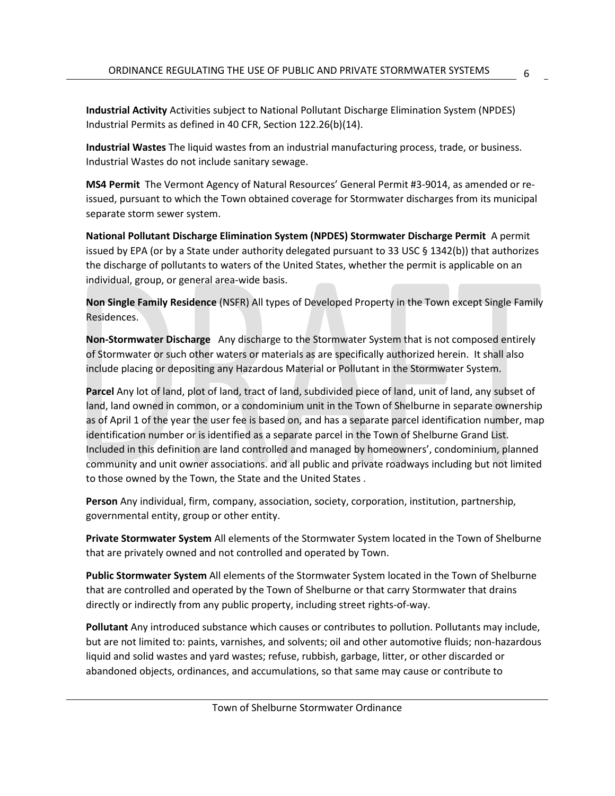**Industrial Activity** Activities subject to National Pollutant Discharge Elimination System (NPDES) Industrial Permits as defined in 40 CFR, Section 122.26(b)(14).

**Industrial Wastes** The liquid wastes from an industrial manufacturing process, trade, or business. Industrial Wastes do not include sanitary sewage.

**MS4 Permit** The Vermont Agency of Natural Resources' General Permit #3-9014, as amended or reissued, pursuant to which the Town obtained coverage for Stormwater discharges from its municipal separate storm sewer system.

**National Pollutant Discharge Elimination System (NPDES) Stormwater Discharge Permit** A permit issued by EPA (or by a State under authority delegated pursuant to 33 USC § 1342(b)) that authorizes the discharge of pollutants to waters of the United States, whether the permit is applicable on an individual, group, or general area-wide basis.

**Non Single Family Residence** (NSFR) All types of Developed Property in the Town except Single Family Residences.

**Non-Stormwater Discharge** Any discharge to the Stormwater System that is not composed entirely of Stormwater or such other waters or materials as are specifically authorized herein. It shall also include placing or depositing any Hazardous Material or Pollutant in the Stormwater System.

**Parcel** Any lot of land, plot of land, tract of land, subdivided piece of land, unit of land, any subset of land, land owned in common, or a condominium unit in the Town of Shelburne in separate ownership as of April 1 of the year the user fee is based on, and has a separate parcel identification number, map identification number or is identified as a separate parcel in the Town of Shelburne Grand List. Included in this definition are land controlled and managed by homeowners', condominium, planned community and unit owner associations. and all public and private roadways including but not limited to those owned by the Town, the State and the United States .

**Person** Any individual, firm, company, association, society, corporation, institution, partnership, governmental entity, group or other entity.

**Private Stormwater System** All elements of the Stormwater System located in the Town of Shelburne that are privately owned and not controlled and operated by Town.

**Public Stormwater System** All elements of the Stormwater System located in the Town of Shelburne that are controlled and operated by the Town of Shelburne or that carry Stormwater that drains directly or indirectly from any public property, including street rights-of-way.

**Pollutant** Any introduced substance which causes or contributes to pollution. Pollutants may include, but are not limited to: paints, varnishes, and solvents; oil and other automotive fluids; non-hazardous liquid and solid wastes and yard wastes; refuse, rubbish, garbage, litter, or other discarded or abandoned objects, ordinances, and accumulations, so that same may cause or contribute to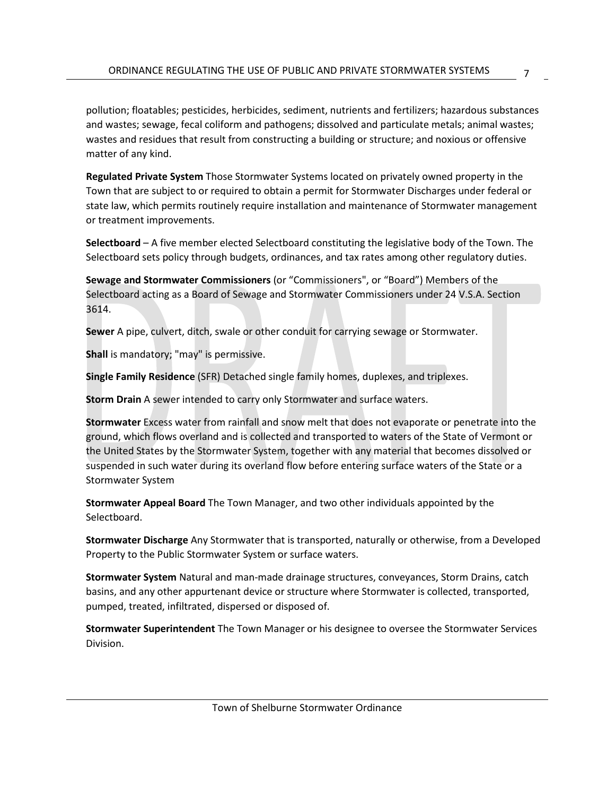pollution; floatables; pesticides, herbicides, sediment, nutrients and fertilizers; hazardous substances and wastes; sewage, fecal coliform and pathogens; dissolved and particulate metals; animal wastes; wastes and residues that result from constructing a building or structure; and noxious or offensive matter of any kind.

**Regulated Private System** Those Stormwater Systems located on privately owned property in the Town that are subject to or required to obtain a permit for Stormwater Discharges under federal or state law, which permits routinely require installation and maintenance of Stormwater management or treatment improvements.

**Selectboard** – A five member elected Selectboard constituting the legislative body of the Town. The Selectboard sets policy through budgets, ordinances, and tax rates among other regulatory duties.

**Sewage and Stormwater Commissioners** (or "Commissioners", or "Board") Members of the Selectboard acting as a Board of Sewage and Stormwater Commissioners under 24 V.S.A. Section 3614.

**Sewer** A pipe, culvert, ditch, swale or other conduit for carrying sewage or Stormwater.

**Shall** is mandatory; "may" is permissive.

**Single Family Residence** (SFR) Detached single family homes, duplexes, and triplexes.

**Storm Drain** A sewer intended to carry only Stormwater and surface waters.

**Stormwater** Excess water from rainfall and snow melt that does not evaporate or penetrate into the ground, which flows overland and is collected and transported to waters of the State of Vermont or the United States by the Stormwater System, together with any material that becomes dissolved or suspended in such water during its overland flow before entering surface waters of the State or a Stormwater System

**Stormwater Appeal Board** The Town Manager, and two other individuals appointed by the Selectboard.

**Stormwater Discharge** Any Stormwater that is transported, naturally or otherwise, from a Developed Property to the Public Stormwater System or surface waters.

**Stormwater System** Natural and man-made drainage structures, conveyances, Storm Drains, catch basins, and any other appurtenant device or structure where Stormwater is collected, transported, pumped, treated, infiltrated, dispersed or disposed of.

**Stormwater Superintendent** The Town Manager or his designee to oversee the Stormwater Services Division.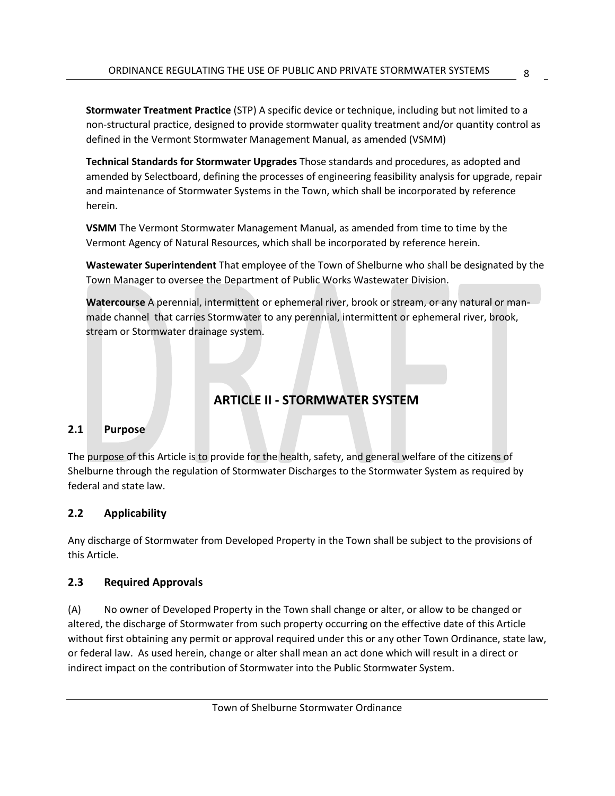**Stormwater Treatment Practice** (STP) A specific device or technique, including but not limited to a non-structural practice, designed to provide stormwater quality treatment and/or quantity control as defined in the Vermont Stormwater Management Manual, as amended (VSMM)

**Technical Standards for Stormwater Upgrades** Those standards and procedures, as adopted and amended by Selectboard, defining the processes of engineering feasibility analysis for upgrade, repair and maintenance of Stormwater Systems in the Town, which shall be incorporated by reference herein.

**VSMM** The Vermont Stormwater Management Manual, as amended from time to time by the Vermont Agency of Natural Resources, which shall be incorporated by reference herein.

**Wastewater Superintendent** That employee of the Town of Shelburne who shall be designated by the Town Manager to oversee the Department of Public Works Wastewater Division.

**Watercourse** A perennial, intermittent or ephemeral river, brook or stream, or any natural or manmade channel that carries Stormwater to any perennial, intermittent or ephemeral river, brook, stream or Stormwater drainage system.

### **ARTICLE II - STORMWATER SYSTEM**

#### <span id="page-12-1"></span><span id="page-12-0"></span>**2.1 Purpose**

The purpose of this Article is to provide for the health, safety, and general welfare of the citizens of Shelburne through the regulation of Stormwater Discharges to the Stormwater System as required by federal and state law.

#### <span id="page-12-2"></span>**2.2 Applicability**

Any discharge of Stormwater from Developed Property in the Town shall be subject to the provisions of this Article.

#### <span id="page-12-3"></span>**2.3 Required Approvals**

(A) No owner of Developed Property in the Town shall change or alter, or allow to be changed or altered, the discharge of Stormwater from such property occurring on the effective date of this Article without first obtaining any permit or approval required under this or any other Town Ordinance, state law, or federal law. As used herein, change or alter shall mean an act done which will result in a direct or indirect impact on the contribution of Stormwater into the Public Stormwater System.

8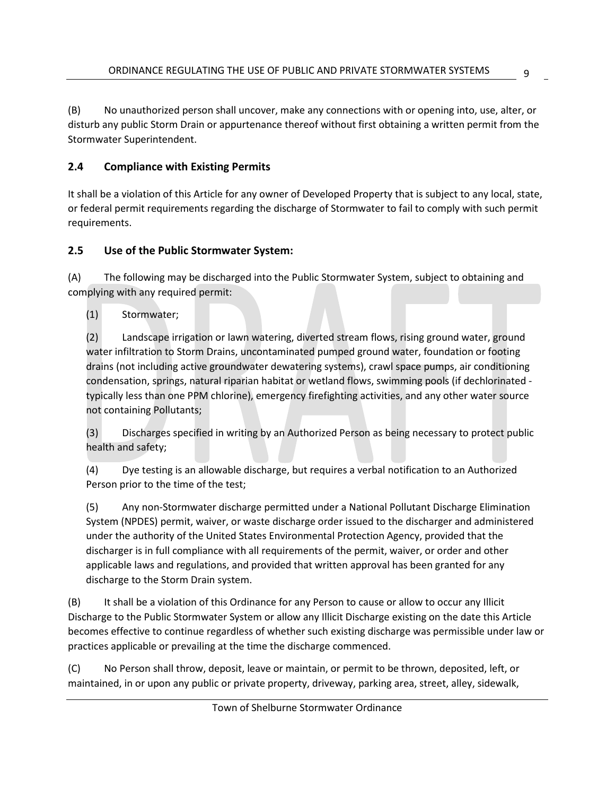(B) No unauthorized person shall uncover, make any connections with or opening into, use, alter, or disturb any public Storm Drain or appurtenance thereof without first obtaining a written permit from the Stormwater Superintendent.

#### <span id="page-13-0"></span>**2.4 Compliance with Existing Permits**

It shall be a violation of this Article for any owner of Developed Property that is subject to any local, state, or federal permit requirements regarding the discharge of Stormwater to fail to comply with such permit requirements.

#### <span id="page-13-1"></span>**2.5 Use of the Public Stormwater System:**

(A) The following may be discharged into the Public Stormwater System, subject to obtaining and complying with any required permit:

(1) Stormwater;

(2) Landscape irrigation or lawn watering, diverted stream flows, rising ground water, ground water infiltration to Storm Drains, uncontaminated pumped ground water, foundation or footing drains (not including active groundwater dewatering systems), crawl space pumps, air conditioning condensation, springs, natural riparian habitat or wetland flows, swimming pools (if dechlorinated typically less than one PPM chlorine), emergency firefighting activities, and any other water source not containing Pollutants;

(3) Discharges specified in writing by an Authorized Person as being necessary to protect public health and safety;

(4) Dye testing is an allowable discharge, but requires a verbal notification to an Authorized Person prior to the time of the test;

(5) Any non-Stormwater discharge permitted under a National Pollutant Discharge Elimination System (NPDES) permit, waiver, or waste discharge order issued to the discharger and administered under the authority of the United States Environmental Protection Agency, provided that the discharger is in full compliance with all requirements of the permit, waiver, or order and other applicable laws and regulations, and provided that written approval has been granted for any discharge to the Storm Drain system.

(B) It shall be a violation of this Ordinance for any Person to cause or allow to occur any Illicit Discharge to the Public Stormwater System or allow any Illicit Discharge existing on the date this Article becomes effective to continue regardless of whether such existing discharge was permissible under law or practices applicable or prevailing at the time the discharge commenced.

(C) No Person shall throw, deposit, leave or maintain, or permit to be thrown, deposited, left, or maintained, in or upon any public or private property, driveway, parking area, street, alley, sidewalk,

9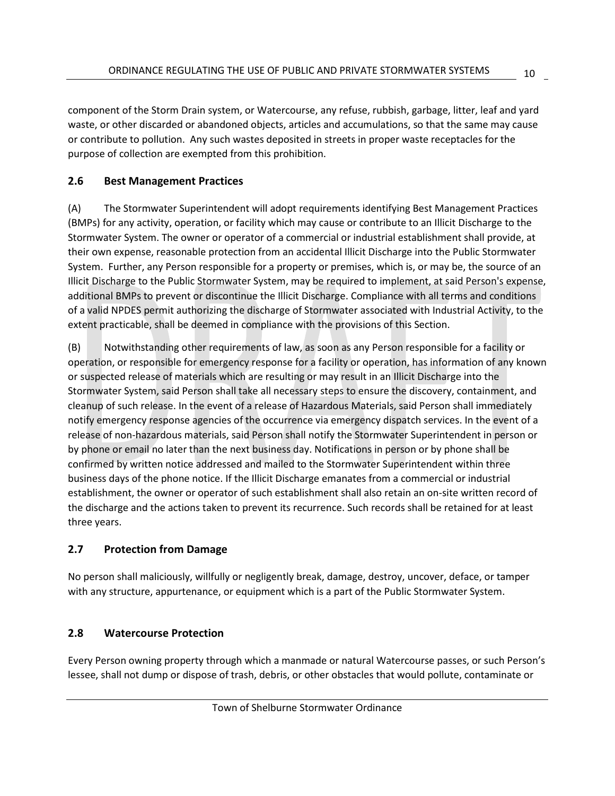component of the Storm Drain system, or Watercourse, any refuse, rubbish, garbage, litter, leaf and yard waste, or other discarded or abandoned objects, articles and accumulations, so that the same may cause or contribute to pollution. Any such wastes deposited in streets in proper waste receptacles for the purpose of collection are exempted from this prohibition.

#### <span id="page-14-0"></span>**2.6 Best Management Practices**

(A) The Stormwater Superintendent will adopt requirements identifying Best Management Practices (BMPs) for any activity, operation, or facility which may cause or contribute to an Illicit Discharge to the Stormwater System. The owner or operator of a commercial or industrial establishment shall provide, at their own expense, reasonable protection from an accidental Illicit Discharge into the Public Stormwater System. Further, any Person responsible for a property or premises, which is, or may be, the source of an Illicit Discharge to the Public Stormwater System, may be required to implement, at said Person's expense, additional BMPs to prevent or discontinue the Illicit Discharge. Compliance with all terms and conditions of a valid NPDES permit authorizing the discharge of Stormwater associated with Industrial Activity, to the extent practicable, shall be deemed in compliance with the provisions of this Section.

(B) Notwithstanding other requirements of law, as soon as any Person responsible for a facility or operation, or responsible for emergency response for a facility or operation, has information of any known or suspected release of materials which are resulting or may result in an Illicit Discharge into the Stormwater System, said Person shall take all necessary steps to ensure the discovery, containment, and cleanup of such release. In the event of a release of Hazardous Materials, said Person shall immediately notify emergency response agencies of the occurrence via emergency dispatch services. In the event of a release of non-hazardous materials, said Person shall notify the Stormwater Superintendent in person or by phone or email no later than the next business day. Notifications in person or by phone shall be confirmed by written notice addressed and mailed to the Stormwater Superintendent within three business days of the phone notice. If the Illicit Discharge emanates from a commercial or industrial establishment, the owner or operator of such establishment shall also retain an on-site written record of the discharge and the actions taken to prevent its recurrence. Such records shall be retained for at least three years.

#### <span id="page-14-1"></span>**2.7 Protection from Damage**

No person shall maliciously, willfully or negligently break, damage, destroy, uncover, deface, or tamper with any structure, appurtenance, or equipment which is a part of the Public Stormwater System.

#### <span id="page-14-2"></span>**2.8 Watercourse Protection**

Every Person owning property through which a manmade or natural Watercourse passes, or such Person's lessee, shall not dump or dispose of trash, debris, or other obstacles that would pollute, contaminate or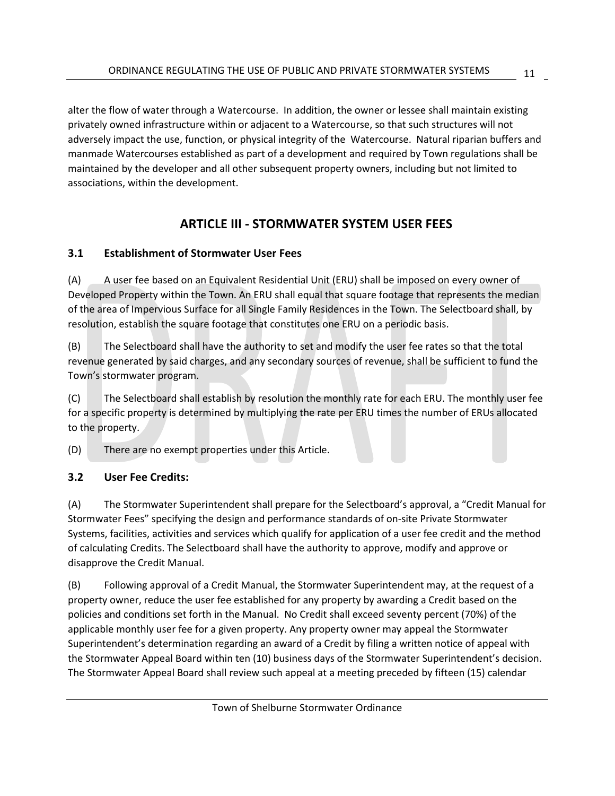alter the flow of water through a Watercourse. In addition, the owner or lessee shall maintain existing privately owned infrastructure within or adjacent to a Watercourse, so that such structures will not adversely impact the use, function, or physical integrity of the Watercourse. Natural riparian buffers and manmade Watercourses established as part of a development and required by Town regulations shall be maintained by the developer and all other subsequent property owners, including but not limited to associations, within the development.

#### **ARTICLE III - STORMWATER SYSTEM USER FEES**

#### <span id="page-15-1"></span><span id="page-15-0"></span>**3.1 Establishment of Stormwater User Fees**

(A) A user fee based on an Equivalent Residential Unit (ERU) shall be imposed on every owner of Developed Property within the Town. An ERU shall equal that square footage that represents the median of the area of Impervious Surface for all Single Family Residences in the Town. The Selectboard shall, by resolution, establish the square footage that constitutes one ERU on a periodic basis.

(B) The Selectboard shall have the authority to set and modify the user fee rates so that the total revenue generated by said charges, and any secondary sources of revenue, shall be sufficient to fund the Town's stormwater program.

(C) The Selectboard shall establish by resolution the monthly rate for each ERU. The monthly user fee for a specific property is determined by multiplying the rate per ERU times the number of ERUs allocated to the property.

(D) There are no exempt properties under this Article.

#### <span id="page-15-2"></span>**3.2 User Fee Credits:**

(A) The Stormwater Superintendent shall prepare for the Selectboard's approval, a "Credit Manual for Stormwater Fees" specifying the design and performance standards of on-site Private Stormwater Systems, facilities, activities and services which qualify for application of a user fee credit and the method of calculating Credits. The Selectboard shall have the authority to approve, modify and approve or disapprove the Credit Manual.

(B) Following approval of a Credit Manual, the Stormwater Superintendent may, at the request of a property owner, reduce the user fee established for any property by awarding a Credit based on the policies and conditions set forth in the Manual. No Credit shall exceed seventy percent (70%) of the applicable monthly user fee for a given property. Any property owner may appeal the Stormwater Superintendent's determination regarding an award of a Credit by filing a written notice of appeal with the Stormwater Appeal Board within ten (10) business days of the Stormwater Superintendent's decision. The Stormwater Appeal Board shall review such appeal at a meeting preceded by fifteen (15) calendar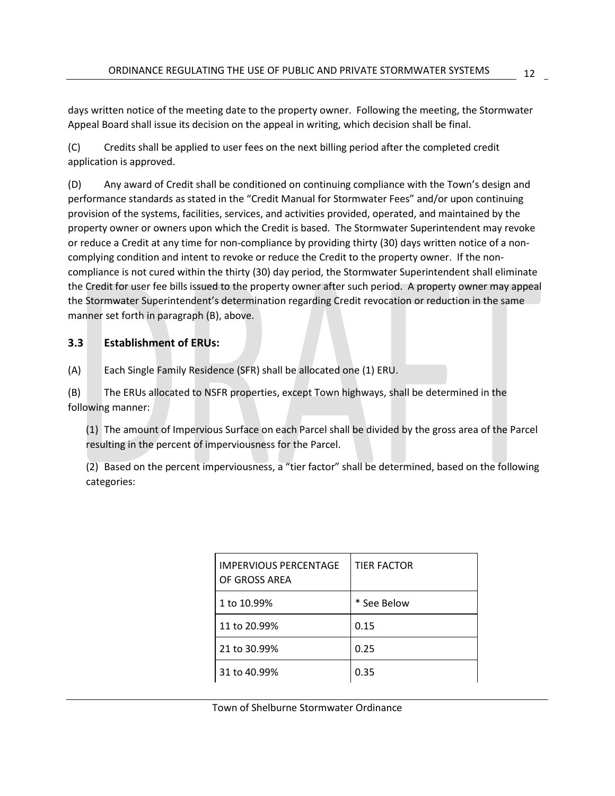days written notice of the meeting date to the property owner. Following the meeting, the Stormwater Appeal Board shall issue its decision on the appeal in writing, which decision shall be final.

(C) Credits shall be applied to user fees on the next billing period after the completed credit application is approved.

(D) Any award of Credit shall be conditioned on continuing compliance with the Town's design and performance standards as stated in the "Credit Manual for Stormwater Fees" and/or upon continuing provision of the systems, facilities, services, and activities provided, operated, and maintained by the property owner or owners upon which the Credit is based. The Stormwater Superintendent may revoke or reduce a Credit at any time for non-compliance by providing thirty (30) days written notice of a noncomplying condition and intent to revoke or reduce the Credit to the property owner. If the noncompliance is not cured within the thirty (30) day period, the Stormwater Superintendent shall eliminate the Credit for user fee bills issued to the property owner after such period. A property owner may appeal the Stormwater Superintendent's determination regarding Credit revocation or reduction in the same manner set forth in paragraph (B), above.

#### <span id="page-16-0"></span>**3.3 Establishment of ERUs:**

(A) Each Single Family Residence (SFR) shall be allocated one (1) ERU.

(B) The ERUs allocated to NSFR properties, except Town highways, shall be determined in the following manner:

(1) The amount of Impervious Surface on each Parcel shall be divided by the gross area of the Parcel resulting in the percent of imperviousness for the Parcel.

(2) Based on the percent imperviousness, a "tier factor" shall be determined, based on the following categories:

| <b>IMPERVIOUS PERCENTAGE</b><br>OF GROSS AREA | <b>TIFR FACTOR</b> |
|-----------------------------------------------|--------------------|
| 1 to 10.99%                                   | * See Below        |
| 11 to 20.99%                                  | 0.15               |
| 21 to 30.99%                                  | 0.25               |
| 31 to 40.99%                                  | 0.35               |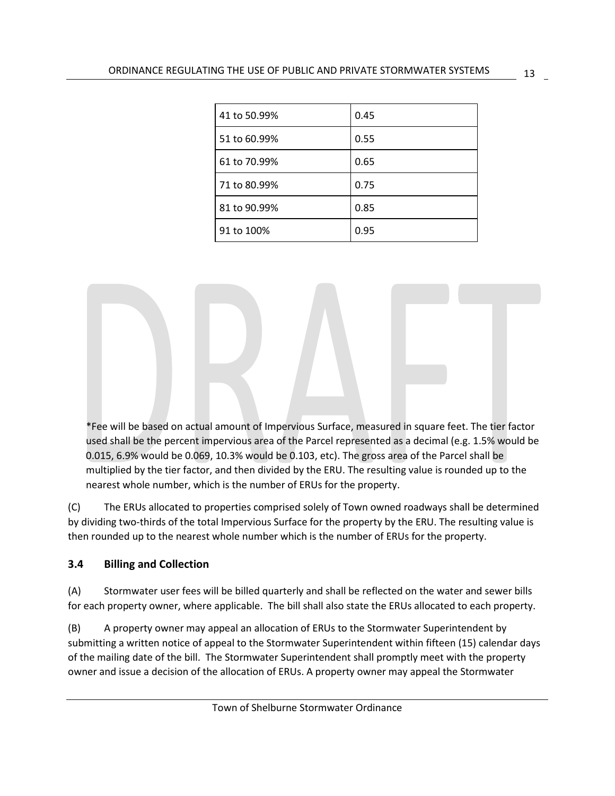| 41 to 50.99% | 0.45 |
|--------------|------|
| 51 to 60.99% | 0.55 |
| 61 to 70.99% | 0.65 |
| 71 to 80.99% | 0.75 |
| 81 to 90.99% | 0.85 |
| 91 to 100%   | 0.95 |

\*Fee will be based on actual amount of Impervious Surface, measured in square feet. The tier factor used shall be the percent impervious area of the Parcel represented as a decimal (e.g. 1.5% would be 0.015, 6.9% would be 0.069, 10.3% would be 0.103, etc). The gross area of the Parcel shall be multiplied by the tier factor, and then divided by the ERU. The resulting value is rounded up to the nearest whole number, which is the number of ERUs for the property.

(C) The ERUs allocated to properties comprised solely of Town owned roadways shall be determined by dividing two-thirds of the total Impervious Surface for the property by the ERU. The resulting value is then rounded up to the nearest whole number which is the number of ERUs for the property.

#### <span id="page-17-0"></span>**3.4 Billing and Collection**

(A) Stormwater user fees will be billed quarterly and shall be reflected on the water and sewer bills for each property owner, where applicable. The bill shall also state the ERUs allocated to each property.

(B) A property owner may appeal an allocation of ERUs to the Stormwater Superintendent by submitting a written notice of appeal to the Stormwater Superintendent within fifteen (15) calendar days of the mailing date of the bill. The Stormwater Superintendent shall promptly meet with the property owner and issue a decision of the allocation of ERUs. A property owner may appeal the Stormwater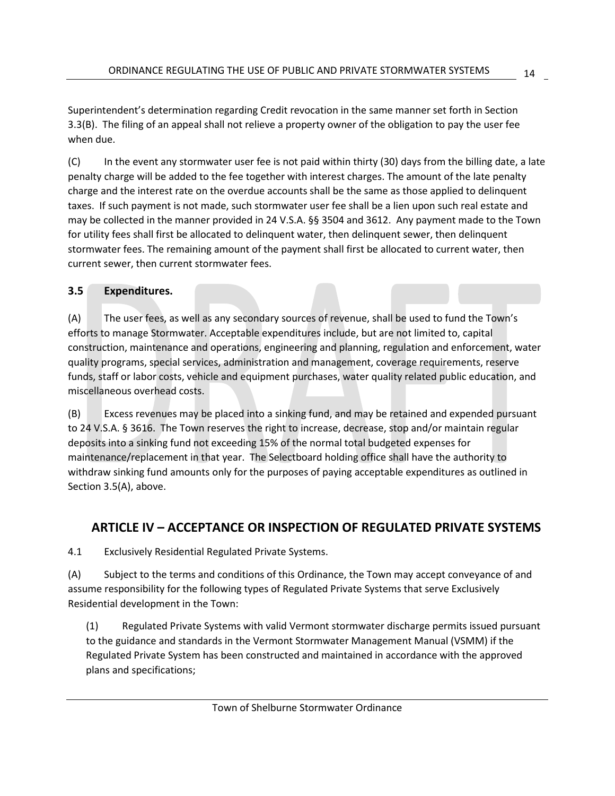Superintendent's determination regarding Credit revocation in the same manner set forth in Section 3.3(B). The filing of an appeal shall not relieve a property owner of the obligation to pay the user fee when due.

(C) In the event any stormwater user fee is not paid within thirty (30) days from the billing date, a late penalty charge will be added to the fee together with interest charges. The amount of the late penalty charge and the interest rate on the overdue accounts shall be the same as those applied to delinquent taxes. If such payment is not made, such stormwater user fee shall be a lien upon such real estate and may be collected in the manner provided in 24 V.S.A. §§ 3504 and 3612. Any payment made to the Town for utility fees shall first be allocated to delinquent water, then delinquent sewer, then delinquent stormwater fees. The remaining amount of the payment shall first be allocated to current water, then current sewer, then current stormwater fees.

#### <span id="page-18-0"></span>**3.5 Expenditures.**

(A) The user fees, as well as any secondary sources of revenue, shall be used to fund the Town's efforts to manage Stormwater. Acceptable expenditures include, but are not limited to, capital construction, maintenance and operations, engineering and planning, regulation and enforcement, water quality programs, special services, administration and management, coverage requirements, reserve funds, staff or labor costs, vehicle and equipment purchases, water quality related public education, and miscellaneous overhead costs.

(B) Excess revenues may be placed into a sinking fund, and may be retained and expended pursuant to 24 V.S.A. § 3616. The Town reserves the right to increase, decrease, stop and/or maintain regular deposits into a sinking fund not exceeding 15% of the normal total budgeted expenses for maintenance/replacement in that year. The Selectboard holding office shall have the authority to withdraw sinking fund amounts only for the purposes of paying acceptable expenditures as outlined in Section 3.5(A), above.

#### <span id="page-18-1"></span>**ARTICLE IV – ACCEPTANCE OR INSPECTION OF REGULATED PRIVATE SYSTEMS**

4.1 Exclusively Residential Regulated Private Systems.

(A) Subject to the terms and conditions of this Ordinance, the Town may accept conveyance of and assume responsibility for the following types of Regulated Private Systems that serve Exclusively Residential development in the Town:

(1) Regulated Private Systems with valid Vermont stormwater discharge permits issued pursuant to the guidance and standards in the Vermont Stormwater Management Manual (VSMM) if the Regulated Private System has been constructed and maintained in accordance with the approved plans and specifications;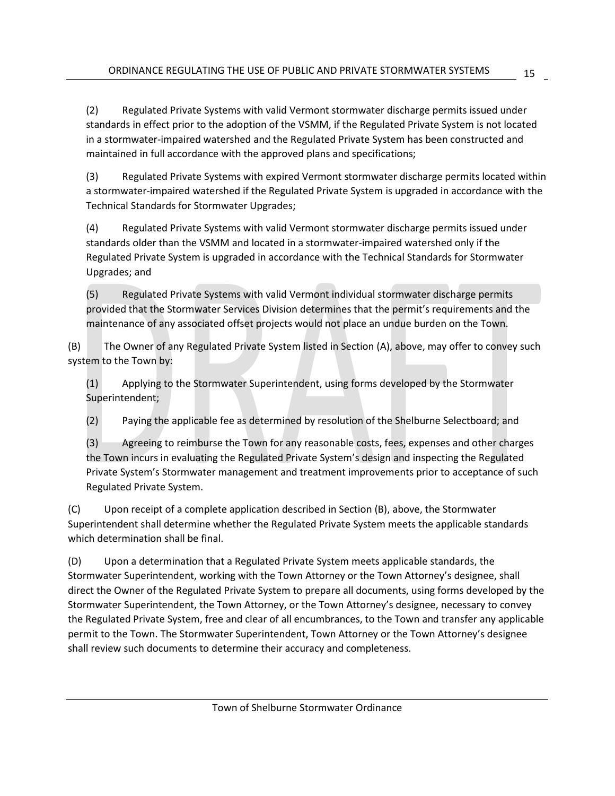(2) Regulated Private Systems with valid Vermont stormwater discharge permits issued under standards in effect prior to the adoption of the VSMM, if the Regulated Private System is not located in a stormwater-impaired watershed and the Regulated Private System has been constructed and maintained in full accordance with the approved plans and specifications;

(3) Regulated Private Systems with expired Vermont stormwater discharge permits located within a stormwater-impaired watershed if the Regulated Private System is upgraded in accordance with the Technical Standards for Stormwater Upgrades;

(4) Regulated Private Systems with valid Vermont stormwater discharge permits issued under standards older than the VSMM and located in a stormwater-impaired watershed only if the Regulated Private System is upgraded in accordance with the Technical Standards for Stormwater Upgrades; and

(5) Regulated Private Systems with valid Vermont individual stormwater discharge permits provided that the Stormwater Services Division determines that the permit's requirements and the maintenance of any associated offset projects would not place an undue burden on the Town.

(B) The Owner of any Regulated Private System listed in Section (A), above, may offer to convey such system to the Town by:

(1) Applying to the Stormwater Superintendent, using forms developed by the Stormwater Superintendent;

(2) Paying the applicable fee as determined by resolution of the Shelburne Selectboard; and

(3) Agreeing to reimburse the Town for any reasonable costs, fees, expenses and other charges the Town incurs in evaluating the Regulated Private System's design and inspecting the Regulated Private System's Stormwater management and treatment improvements prior to acceptance of such Regulated Private System.

(C) Upon receipt of a complete application described in Section (B), above, the Stormwater Superintendent shall determine whether the Regulated Private System meets the applicable standards which determination shall be final.

(D) Upon a determination that a Regulated Private System meets applicable standards, the Stormwater Superintendent, working with the Town Attorney or the Town Attorney's designee, shall direct the Owner of the Regulated Private System to prepare all documents, using forms developed by the Stormwater Superintendent, the Town Attorney, or the Town Attorney's designee, necessary to convey the Regulated Private System, free and clear of all encumbrances, to the Town and transfer any applicable permit to the Town. The Stormwater Superintendent, Town Attorney or the Town Attorney's designee shall review such documents to determine their accuracy and completeness.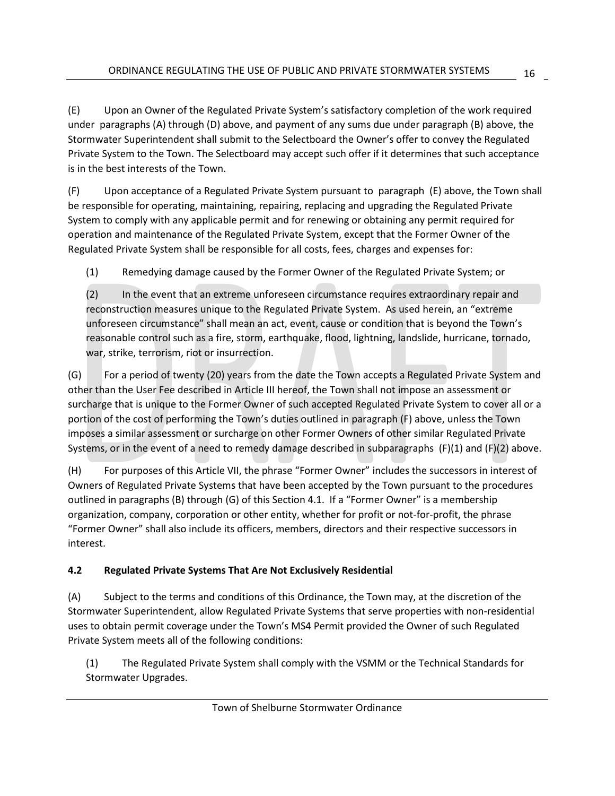(E) Upon an Owner of the Regulated Private System's satisfactory completion of the work required under paragraphs (A) through (D) above, and payment of any sums due under paragraph (B) above, the Stormwater Superintendent shall submit to the Selectboard the Owner's offer to convey the Regulated Private System to the Town. The Selectboard may accept such offer if it determines that such acceptance is in the best interests of the Town.

(F) Upon acceptance of a Regulated Private System pursuant to paragraph (E) above, the Town shall be responsible for operating, maintaining, repairing, replacing and upgrading the Regulated Private System to comply with any applicable permit and for renewing or obtaining any permit required for operation and maintenance of the Regulated Private System, except that the Former Owner of the Regulated Private System shall be responsible for all costs, fees, charges and expenses for:

(1) Remedying damage caused by the Former Owner of the Regulated Private System; or

(2) In the event that an extreme unforeseen circumstance requires extraordinary repair and reconstruction measures unique to the Regulated Private System. As used herein, an "extreme unforeseen circumstance" shall mean an act, event, cause or condition that is beyond the Town's reasonable control such as a fire, storm, earthquake, flood, lightning, landslide, hurricane, tornado, war, strike, terrorism, riot or insurrection.

(G) For a period of twenty (20) years from the date the Town accepts a Regulated Private System and other than the User Fee described in Article III hereof, the Town shall not impose an assessment or surcharge that is unique to the Former Owner of such accepted Regulated Private System to cover all or a portion of the cost of performing the Town's duties outlined in paragraph (F) above, unless the Town imposes a similar assessment or surcharge on other Former Owners of other similar Regulated Private Systems, or in the event of a need to remedy damage described in subparagraphs  $(F)(1)$  and  $(F)(2)$  above.

(H) For purposes of this Article VII, the phrase "Former Owner" includes the successors in interest of Owners of Regulated Private Systems that have been accepted by the Town pursuant to the procedures outlined in paragraphs (B) through (G) of this Section 4.1. If a "Former Owner" is a membership organization, company, corporation or other entity, whether for profit or not-for-profit, the phrase "Former Owner" shall also include its officers, members, directors and their respective successors in interest.

#### <span id="page-20-0"></span>**4.2 Regulated Private Systems That Are Not Exclusively Residential**

(A) Subject to the terms and conditions of this Ordinance, the Town may, at the discretion of the Stormwater Superintendent, allow Regulated Private Systems that serve properties with non-residential uses to obtain permit coverage under the Town's MS4 Permit provided the Owner of such Regulated Private System meets all of the following conditions:

(1) The Regulated Private System shall comply with the VSMM or the Technical Standards for Stormwater Upgrades.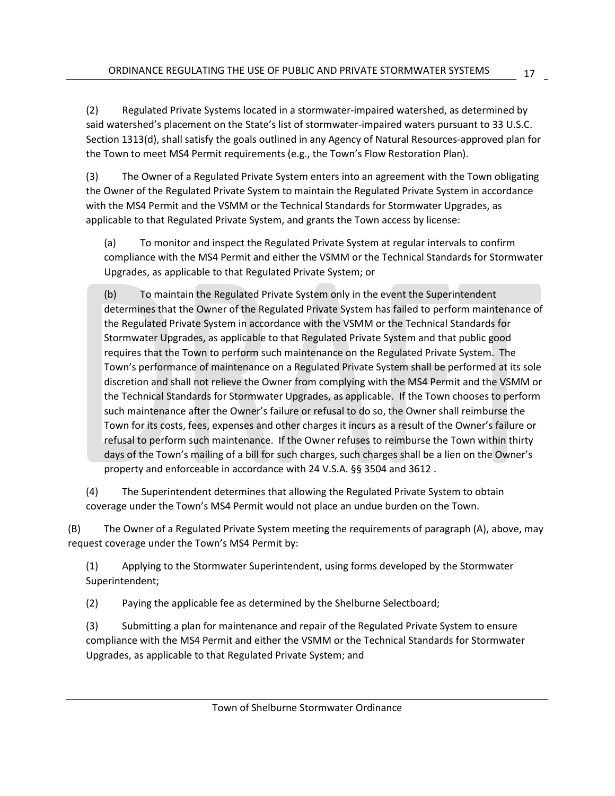(2) Regulated Private Systems located in a stormwater-impaired watershed, as determined by said watershed's placement on the State's list of stormwater-impaired waters pursuant to 33 U.S.C. Section 1313(d), shall satisfy the goals outlined in any Agency of Natural Resources-approved plan for the Town to meet MS4 Permit requirements (e.g., the Town's Flow Restoration Plan).

(3) The Owner of a Regulated Private System enters into an agreement with the Town obligating the Owner of the Regulated Private System to maintain the Regulated Private System in accordance with the MS4 Permit and the VSMM or the Technical Standards for Stormwater Upgrades, as applicable to that Regulated Private System, and grants the Town access by license:

(a) To monitor and inspect the Regulated Private System at regular intervals to confirm compliance with the MS4 Permit and either the VSMM or the Technical Standards for Stormwater Upgrades, as applicable to that Regulated Private System; or

(b) To maintain the Regulated Private System only in the event the Superintendent determines that the Owner of the Regulated Private System has failed to perform maintenance of the Regulated Private System in accordance with the VSMM or the Technical Standards for Stormwater Upgrades, as applicable to that Regulated Private System and that public good requires that the Town to perform such maintenance on the Regulated Private System. The Town's performance of maintenance on a Regulated Private System shall be performed at its sole discretion and shall not relieve the Owner from complying with the MS4 Permit and the VSMM or the Technical Standards for Stormwater Upgrades, as applicable. If the Town chooses to perform such maintenance after the Owner's failure or refusal to do so, the Owner shall reimburse the Town for its costs, fees, expenses and other charges it incurs as a result of the Owner's failure or refusal to perform such maintenance. If the Owner refuses to reimburse the Town within thirty days of the Town's mailing of a bill for such charges, such charges shall be a lien on the Owner's property and enforceable in accordance with 24 V.S.A. §§ 3504 and 3612 .

(4) The Superintendent determines that allowing the Regulated Private System to obtain coverage under the Town's MS4 Permit would not place an undue burden on the Town.

(B) The Owner of a Regulated Private System meeting the requirements of paragraph (A), above, may request coverage under the Town's MS4 Permit by:

(1) Applying to the Stormwater Superintendent, using forms developed by the Stormwater Superintendent;

(2) Paying the applicable fee as determined by the Shelburne Selectboard;

(3) Submitting a plan for maintenance and repair of the Regulated Private System to ensure compliance with the MS4 Permit and either the VSMM or the Technical Standards for Stormwater Upgrades, as applicable to that Regulated Private System; and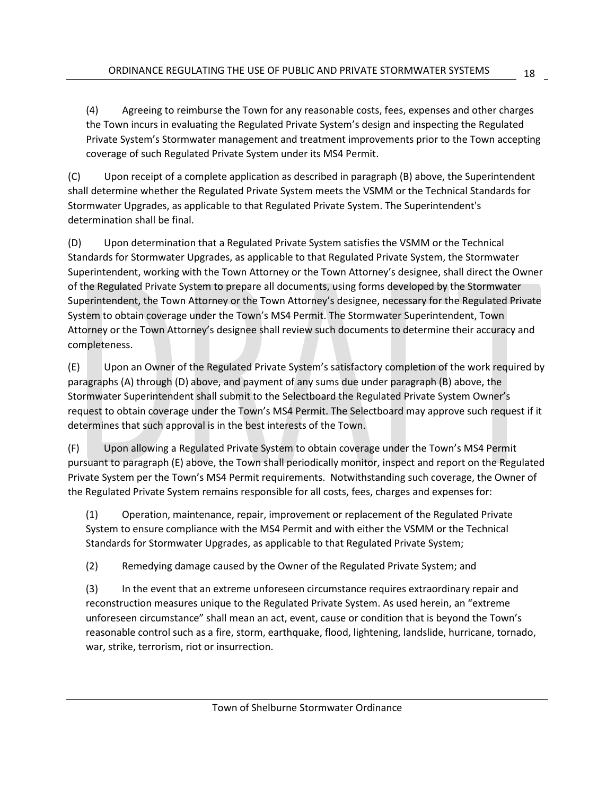(4) Agreeing to reimburse the Town for any reasonable costs, fees, expenses and other charges the Town incurs in evaluating the Regulated Private System's design and inspecting the Regulated Private System's Stormwater management and treatment improvements prior to the Town accepting coverage of such Regulated Private System under its MS4 Permit.

(C) Upon receipt of a complete application as described in paragraph (B) above, the Superintendent shall determine whether the Regulated Private System meets the VSMM or the Technical Standards for Stormwater Upgrades, as applicable to that Regulated Private System. The Superintendent's determination shall be final.

(D) Upon determination that a Regulated Private System satisfies the VSMM or the Technical Standards for Stormwater Upgrades, as applicable to that Regulated Private System, the Stormwater Superintendent, working with the Town Attorney or the Town Attorney's designee, shall direct the Owner of the Regulated Private System to prepare all documents, using forms developed by the Stormwater Superintendent, the Town Attorney or the Town Attorney's designee, necessary for the Regulated Private System to obtain coverage under the Town's MS4 Permit. The Stormwater Superintendent, Town Attorney or the Town Attorney's designee shall review such documents to determine their accuracy and completeness.

(E) Upon an Owner of the Regulated Private System's satisfactory completion of the work required by paragraphs (A) through (D) above, and payment of any sums due under paragraph (B) above, the Stormwater Superintendent shall submit to the Selectboard the Regulated Private System Owner's request to obtain coverage under the Town's MS4 Permit. The Selectboard may approve such request if it determines that such approval is in the best interests of the Town.

(F) Upon allowing a Regulated Private System to obtain coverage under the Town's MS4 Permit pursuant to paragraph (E) above, the Town shall periodically monitor, inspect and report on the Regulated Private System per the Town's MS4 Permit requirements. Notwithstanding such coverage, the Owner of the Regulated Private System remains responsible for all costs, fees, charges and expenses for:

(1) Operation, maintenance, repair, improvement or replacement of the Regulated Private System to ensure compliance with the MS4 Permit and with either the VSMM or the Technical Standards for Stormwater Upgrades, as applicable to that Regulated Private System;

(2) Remedying damage caused by the Owner of the Regulated Private System; and

(3) In the event that an extreme unforeseen circumstance requires extraordinary repair and reconstruction measures unique to the Regulated Private System. As used herein, an "extreme unforeseen circumstance" shall mean an act, event, cause or condition that is beyond the Town's reasonable control such as a fire, storm, earthquake, flood, lightening, landslide, hurricane, tornado, war, strike, terrorism, riot or insurrection.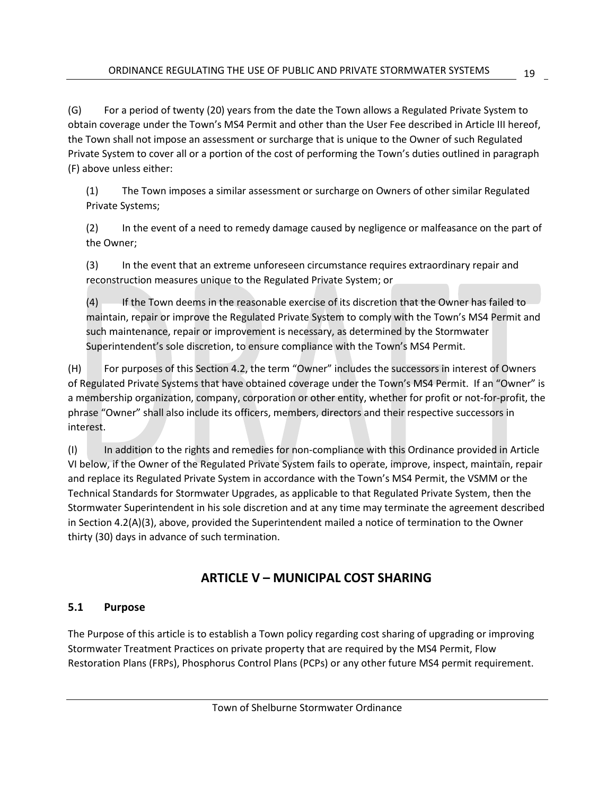(G) For a period of twenty (20) years from the date the Town allows a Regulated Private System to obtain coverage under the Town's MS4 Permit and other than the User Fee described in Article III hereof, the Town shall not impose an assessment or surcharge that is unique to the Owner of such Regulated Private System to cover all or a portion of the cost of performing the Town's duties outlined in paragraph (F) above unless either:

(1) The Town imposes a similar assessment or surcharge on Owners of other similar Regulated Private Systems;

(2) In the event of a need to remedy damage caused by negligence or malfeasance on the part of the Owner;

(3) In the event that an extreme unforeseen circumstance requires extraordinary repair and reconstruction measures unique to the Regulated Private System; or

(4) If the Town deems in the reasonable exercise of its discretion that the Owner has failed to maintain, repair or improve the Regulated Private System to comply with the Town's MS4 Permit and such maintenance, repair or improvement is necessary, as determined by the Stormwater Superintendent's sole discretion, to ensure compliance with the Town's MS4 Permit.

(H) For purposes of this Section 4.2, the term "Owner" includes the successors in interest of Owners of Regulated Private Systems that have obtained coverage under the Town's MS4 Permit. If an "Owner" is a membership organization, company, corporation or other entity, whether for profit or not-for-profit, the phrase "Owner" shall also include its officers, members, directors and their respective successors in interest.

(I) In addition to the rights and remedies for non-compliance with this Ordinance provided in Article VI below, if the Owner of the Regulated Private System fails to operate, improve, inspect, maintain, repair and replace its Regulated Private System in accordance with the Town's MS4 Permit, the VSMM or the Technical Standards for Stormwater Upgrades, as applicable to that Regulated Private System, then the Stormwater Superintendent in his sole discretion and at any time may terminate the agreement described in Section 4.2(A)(3), above, provided the Superintendent mailed a notice of termination to the Owner thirty (30) days in advance of such termination.

#### **ARTICLE V – MUNICIPAL COST SHARING**

#### <span id="page-23-1"></span><span id="page-23-0"></span>**5.1 Purpose**

The Purpose of this article is to establish a Town policy regarding cost sharing of upgrading or improving Stormwater Treatment Practices on private property that are required by the MS4 Permit, Flow Restoration Plans (FRPs), Phosphorus Control Plans (PCPs) or any other future MS4 permit requirement.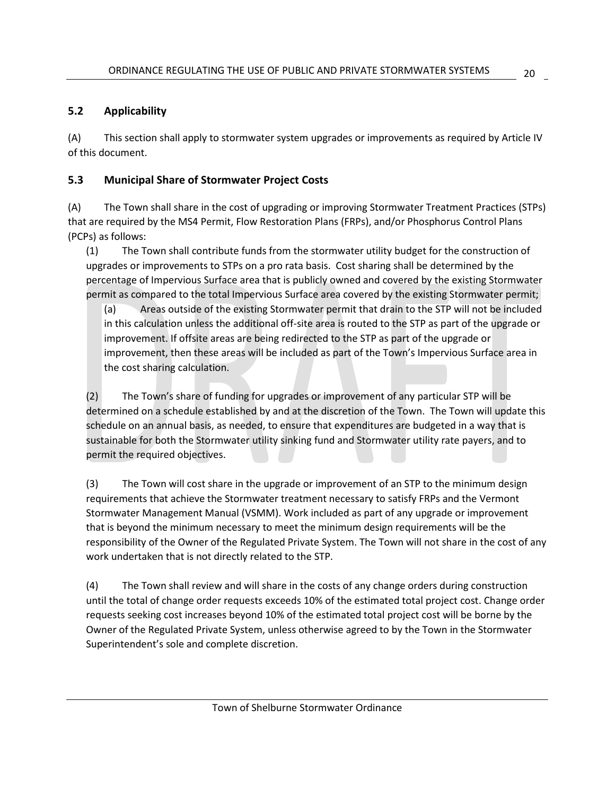#### <span id="page-24-0"></span>**5.2 Applicability**

(A) This section shall apply to stormwater system upgrades or improvements as required by Article IV of this document.

#### <span id="page-24-1"></span>**5.3 Municipal Share of Stormwater Project Costs**

(A) The Town shall share in the cost of upgrading or improving Stormwater Treatment Practices (STPs) that are required by the MS4 Permit, Flow Restoration Plans (FRPs), and/or Phosphorus Control Plans (PCPs) as follows:

(1) The Town shall contribute funds from the stormwater utility budget for the construction of upgrades or improvements to STPs on a pro rata basis. Cost sharing shall be determined by the percentage of Impervious Surface area that is publicly owned and covered by the existing Stormwater permit as compared to the total Impervious Surface area covered by the existing Stormwater permit;

(a) Areas outside of the existing Stormwater permit that drain to the STP will not be included in this calculation unless the additional off-site area is routed to the STP as part of the upgrade or improvement. If offsite areas are being redirected to the STP as part of the upgrade or improvement, then these areas will be included as part of the Town's Impervious Surface area in the cost sharing calculation.

(2) The Town's share of funding for upgrades or improvement of any particular STP will be determined on a schedule established by and at the discretion of the Town. The Town will update this schedule on an annual basis, as needed, to ensure that expenditures are budgeted in a way that is sustainable for both the Stormwater utility sinking fund and Stormwater utility rate payers, and to permit the required objectives.

(3) The Town will cost share in the upgrade or improvement of an STP to the minimum design requirements that achieve the Stormwater treatment necessary to satisfy FRPs and the Vermont Stormwater Management Manual (VSMM). Work included as part of any upgrade or improvement that is beyond the minimum necessary to meet the minimum design requirements will be the responsibility of the Owner of the Regulated Private System. The Town will not share in the cost of any work undertaken that is not directly related to the STP.

(4) The Town shall review and will share in the costs of any change orders during construction until the total of change order requests exceeds 10% of the estimated total project cost. Change order requests seeking cost increases beyond 10% of the estimated total project cost will be borne by the Owner of the Regulated Private System, unless otherwise agreed to by the Town in the Stormwater Superintendent's sole and complete discretion.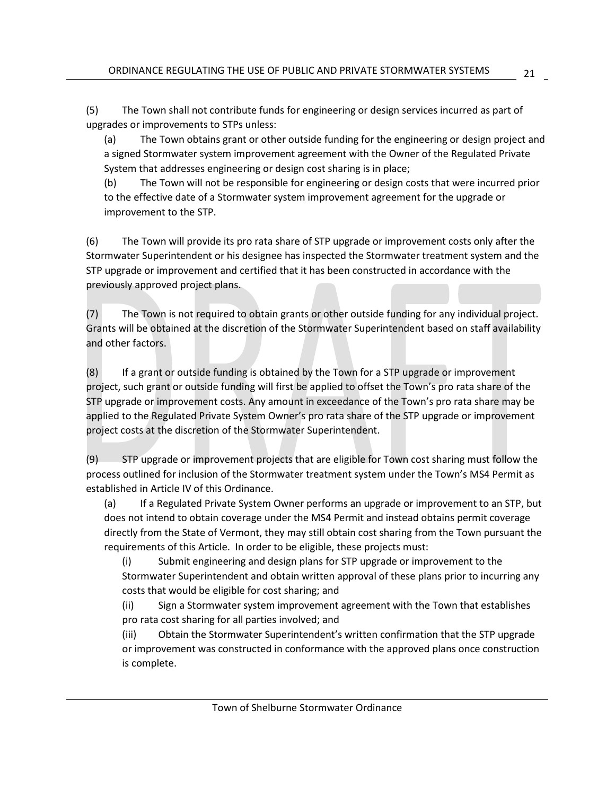(5) The Town shall not contribute funds for engineering or design services incurred as part of upgrades or improvements to STPs unless:

(a) The Town obtains grant or other outside funding for the engineering or design project and a signed Stormwater system improvement agreement with the Owner of the Regulated Private System that addresses engineering or design cost sharing is in place;

(b) The Town will not be responsible for engineering or design costs that were incurred prior to the effective date of a Stormwater system improvement agreement for the upgrade or improvement to the STP.

(6) The Town will provide its pro rata share of STP upgrade or improvement costs only after the Stormwater Superintendent or his designee has inspected the Stormwater treatment system and the STP upgrade or improvement and certified that it has been constructed in accordance with the previously approved project plans.

(7) The Town is not required to obtain grants or other outside funding for any individual project. Grants will be obtained at the discretion of the Stormwater Superintendent based on staff availability and other factors.

(8) If a grant or outside funding is obtained by the Town for a STP upgrade or improvement project, such grant or outside funding will first be applied to offset the Town's pro rata share of the STP upgrade or improvement costs. Any amount in exceedance of the Town's pro rata share may be applied to the Regulated Private System Owner's pro rata share of the STP upgrade or improvement project costs at the discretion of the Stormwater Superintendent.

(9) STP upgrade or improvement projects that are eligible for Town cost sharing must follow the process outlined for inclusion of the Stormwater treatment system under the Town's MS4 Permit as established in Article IV of this Ordinance.

(a) If a Regulated Private System Owner performs an upgrade or improvement to an STP, but does not intend to obtain coverage under the MS4 Permit and instead obtains permit coverage directly from the State of Vermont, they may still obtain cost sharing from the Town pursuant the requirements of this Article. In order to be eligible, these projects must:

(i) Submit engineering and design plans for STP upgrade or improvement to the Stormwater Superintendent and obtain written approval of these plans prior to incurring any costs that would be eligible for cost sharing; and

(ii) Sign a Stormwater system improvement agreement with the Town that establishes pro rata cost sharing for all parties involved; and

(iii) Obtain the Stormwater Superintendent's written confirmation that the STP upgrade or improvement was constructed in conformance with the approved plans once construction is complete.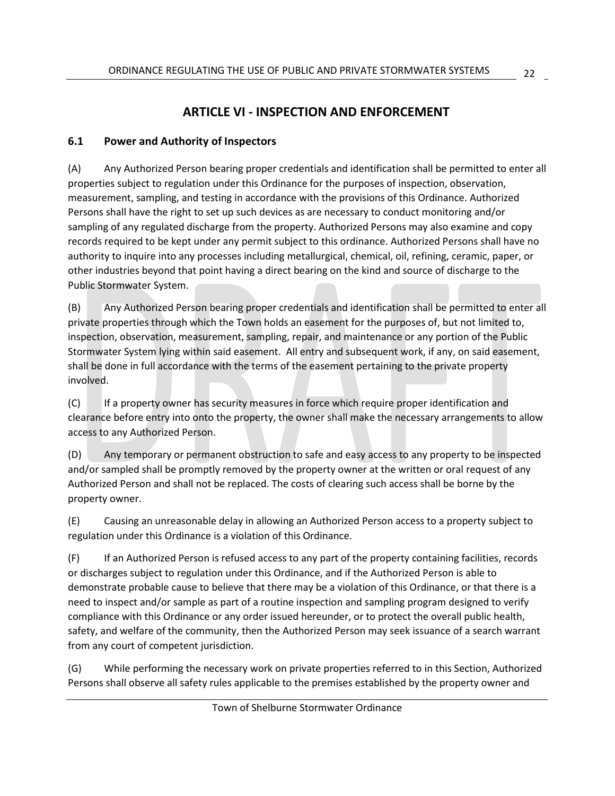#### **ARTICLE VI - INSPECTION AND ENFORCEMENT**

#### <span id="page-26-1"></span><span id="page-26-0"></span>**6.1 Power and Authority of Inspectors**

(A) Any Authorized Person bearing proper credentials and identification shall be permitted to enter all properties subject to regulation under this Ordinance for the purposes of inspection, observation, measurement, sampling, and testing in accordance with the provisions of this Ordinance. Authorized Persons shall have the right to set up such devices as are necessary to conduct monitoring and/or sampling of any regulated discharge from the property. Authorized Persons may also examine and copy records required to be kept under any permit subject to this ordinance. Authorized Persons shall have no authority to inquire into any processes including metallurgical, chemical, oil, refining, ceramic, paper, or other industries beyond that point having a direct bearing on the kind and source of discharge to the Public Stormwater System.

(B) Any Authorized Person bearing proper credentials and identification shall be permitted to enter all private properties through which the Town holds an easement for the purposes of, but not limited to, inspection, observation, measurement, sampling, repair, and maintenance or any portion of the Public Stormwater System lying within said easement. All entry and subsequent work, if any, on said easement, shall be done in full accordance with the terms of the easement pertaining to the private property involved.

(C) If a property owner has security measures in force which require proper identification and clearance before entry into onto the property, the owner shall make the necessary arrangements to allow access to any Authorized Person.

(D) Any temporary or permanent obstruction to safe and easy access to any property to be inspected and/or sampled shall be promptly removed by the property owner at the written or oral request of any Authorized Person and shall not be replaced. The costs of clearing such access shall be borne by the property owner.

(E) Causing an unreasonable delay in allowing an Authorized Person access to a property subject to regulation under this Ordinance is a violation of this Ordinance.

(F) If an Authorized Person is refused access to any part of the property containing facilities, records or discharges subject to regulation under this Ordinance, and if the Authorized Person is able to demonstrate probable cause to believe that there may be a violation of this Ordinance, or that there is a need to inspect and/or sample as part of a routine inspection and sampling program designed to verify compliance with this Ordinance or any order issued hereunder, or to protect the overall public health, safety, and welfare of the community, then the Authorized Person may seek issuance of a search warrant from any court of competent jurisdiction.

(G) While performing the necessary work on private properties referred to in this Section, Authorized Persons shall observe all safety rules applicable to the premises established by the property owner and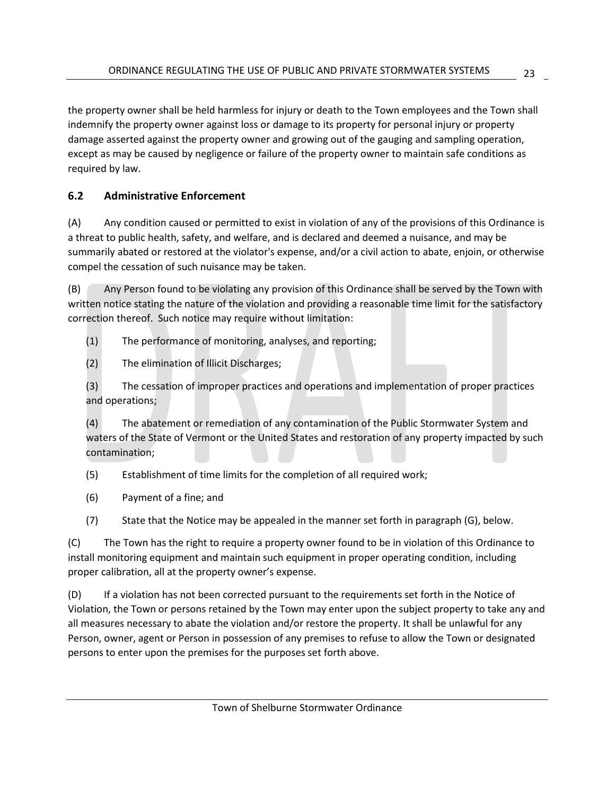the property owner shall be held harmless for injury or death to the Town employees and the Town shall indemnify the property owner against loss or damage to its property for personal injury or property damage asserted against the property owner and growing out of the gauging and sampling operation, except as may be caused by negligence or failure of the property owner to maintain safe conditions as required by law.

#### <span id="page-27-0"></span>**6.2 Administrative Enforcement**

(A) Any condition caused or permitted to exist in violation of any of the provisions of this Ordinance is a threat to public health, safety, and welfare, and is declared and deemed a nuisance, and may be summarily abated or restored at the violator's expense, and/or a civil action to abate, enjoin, or otherwise compel the cessation of such nuisance may be taken.

(B) Any Person found to be violating any provision of this Ordinance shall be served by the Town with written notice stating the nature of the violation and providing a reasonable time limit for the satisfactory correction thereof. Such notice may require without limitation:

- (1) The performance of monitoring, analyses, and reporting;
- (2) The elimination of Illicit Discharges;

(3) The cessation of improper practices and operations and implementation of proper practices and operations;

(4) The abatement or remediation of any contamination of the Public Stormwater System and waters of the State of Vermont or the United States and restoration of any property impacted by such contamination;

(5) Establishment of time limits for the completion of all required work;

- (6) Payment of a fine; and
- (7) State that the Notice may be appealed in the manner set forth in paragraph (G), below.

(C) The Town has the right to require a property owner found to be in violation of this Ordinance to install monitoring equipment and maintain such equipment in proper operating condition, including proper calibration, all at the property owner's expense.

(D) If a violation has not been corrected pursuant to the requirements set forth in the Notice of Violation, the Town or persons retained by the Town may enter upon the subject property to take any and all measures necessary to abate the violation and/or restore the property. It shall be unlawful for any Person, owner, agent or Person in possession of any premises to refuse to allow the Town or designated persons to enter upon the premises for the purposes set forth above.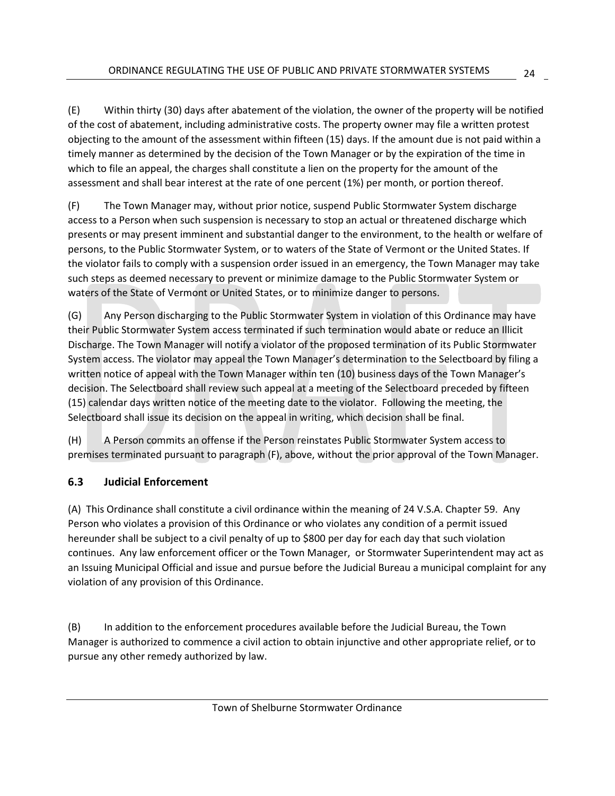(E) Within thirty (30) days after abatement of the violation, the owner of the property will be notified of the cost of abatement, including administrative costs. The property owner may file a written protest objecting to the amount of the assessment within fifteen (15) days. If the amount due is not paid within a timely manner as determined by the decision of the Town Manager or by the expiration of the time in which to file an appeal, the charges shall constitute a lien on the property for the amount of the assessment and shall bear interest at the rate of one percent (1%) per month, or portion thereof.

(F) The Town Manager may, without prior notice, suspend Public Stormwater System discharge access to a Person when such suspension is necessary to stop an actual or threatened discharge which presents or may present imminent and substantial danger to the environment, to the health or welfare of persons, to the Public Stormwater System, or to waters of the State of Vermont or the United States. If the violator fails to comply with a suspension order issued in an emergency, the Town Manager may take such steps as deemed necessary to prevent or minimize damage to the Public Stormwater System or waters of the State of Vermont or United States, or to minimize danger to persons.

(G) Any Person discharging to the Public Stormwater System in violation of this Ordinance may have their Public Stormwater System access terminated if such termination would abate or reduce an Illicit Discharge. The Town Manager will notify a violator of the proposed termination of its Public Stormwater System access. The violator may appeal the Town Manager's determination to the Selectboard by filing a written notice of appeal with the Town Manager within ten (10) business days of the Town Manager's decision. The Selectboard shall review such appeal at a meeting of the Selectboard preceded by fifteen (15) calendar days written notice of the meeting date to the violator. Following the meeting, the Selectboard shall issue its decision on the appeal in writing, which decision shall be final.

(H) A Person commits an offense if the Person reinstates Public Stormwater System access to premises terminated pursuant to paragraph (F), above, without the prior approval of the Town Manager.

#### <span id="page-28-0"></span>**6.3 Judicial Enforcement**

(A) This Ordinance shall constitute a civil ordinance within the meaning of 24 V.S.A. Chapter 59. Any Person who violates a provision of this Ordinance or who violates any condition of a permit issued hereunder shall be subject to a civil penalty of up to \$800 per day for each day that such violation continues. Any law enforcement officer or the Town Manager, or Stormwater Superintendent may act as an Issuing Municipal Official and issue and pursue before the Judicial Bureau a municipal complaint for any violation of any provision of this Ordinance.

(B) In addition to the enforcement procedures available before the Judicial Bureau, the Town Manager is authorized to commence a civil action to obtain injunctive and other appropriate relief, or to pursue any other remedy authorized by law.

24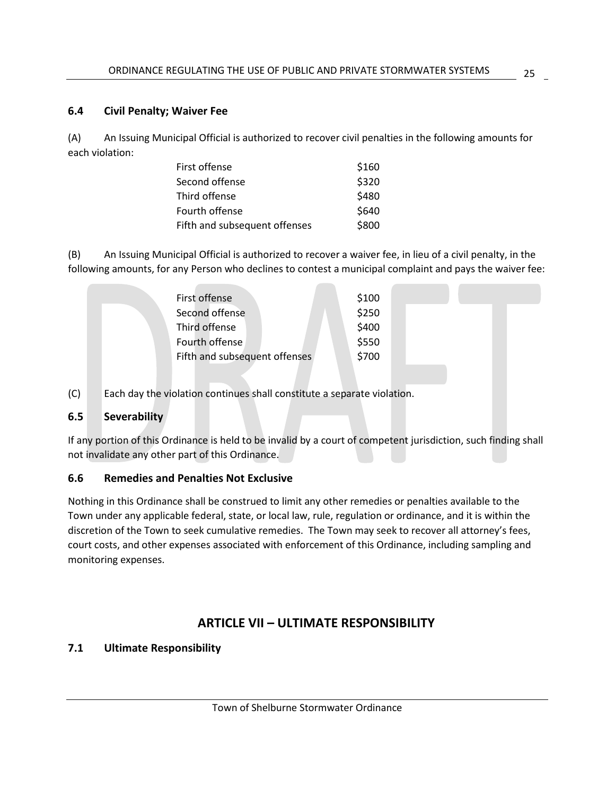#### <span id="page-29-0"></span>**6.4 Civil Penalty; Waiver Fee**

(A) An Issuing Municipal Official is authorized to recover civil penalties in the following amounts for each violation:

| First offense                 | \$160 |
|-------------------------------|-------|
| Second offense                | \$320 |
| Third offense                 | \$480 |
| Fourth offense                | \$640 |
| Fifth and subsequent offenses | \$800 |

(B) An Issuing Municipal Official is authorized to recover a waiver fee, in lieu of a civil penalty, in the following amounts, for any Person who declines to contest a municipal complaint and pays the waiver fee:

| First offense                 | \$100 |  |  |
|-------------------------------|-------|--|--|
| Second offense                | \$250 |  |  |
| Third offense                 | \$400 |  |  |
| Fourth offense                | \$550 |  |  |
| Fifth and subsequent offenses | \$700 |  |  |
|                               |       |  |  |

(C) Each day the violation continues shall constitute a separate violation.

#### **6.5 Severability**

If any portion of this Ordinance is held to be invalid by a court of competent jurisdiction, such finding shall not invalidate any other part of this Ordinance.

#### **6.6 Remedies and Penalties Not Exclusive**

Nothing in this Ordinance shall be construed to limit any other remedies or penalties available to the Town under any applicable federal, state, or local law, rule, regulation or ordinance, and it is within the discretion of the Town to seek cumulative remedies. The Town may seek to recover all attorney's fees, court costs, and other expenses associated with enforcement of this Ordinance, including sampling and monitoring expenses.

#### **ARTICLE VII – ULTIMATE RESPONSIBILITY**

#### <span id="page-29-1"></span>**7.1 Ultimate Responsibility**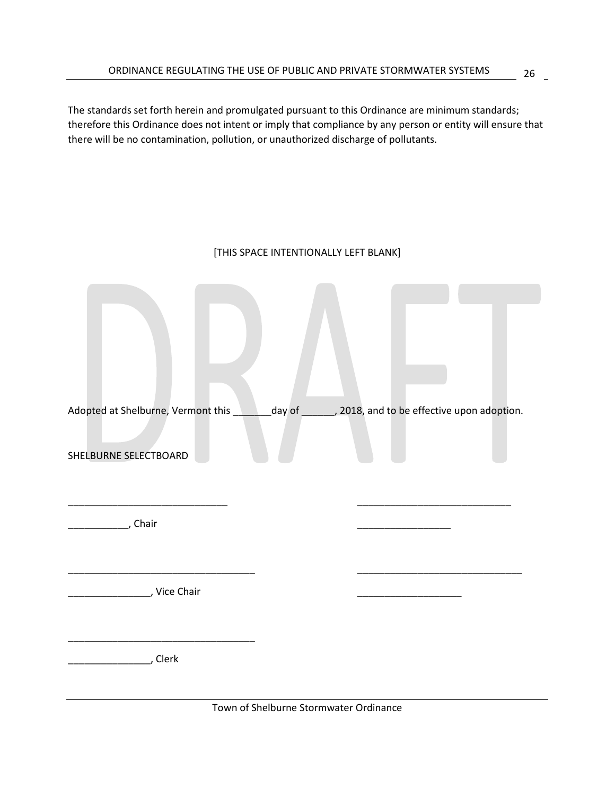The standards set forth herein and promulgated pursuant to this Ordinance are minimum standards; therefore this Ordinance does not intent or imply that compliance by any person or entity will ensure that there will be no contamination, pollution, or unauthorized discharge of pollutants.

#### [THIS SPACE INTENTIONALLY LEFT BLANK]

| Adopted at Shelburne, Vermont this details and to be effective upon adoption. |  |  |
|-------------------------------------------------------------------------------|--|--|
| SHELBURNE SELECTBOARD                                                         |  |  |
| Chair                                                                         |  |  |
| <b>Example 2</b> , Vice Chair                                                 |  |  |
| Clerk ريسيسيسيسي                                                              |  |  |

Town of Shelburne Stormwater Ordinance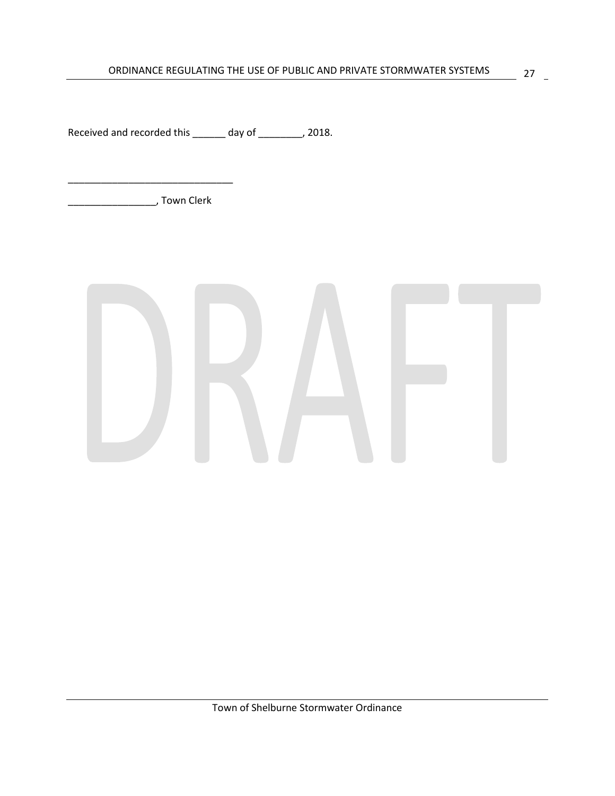Received and recorded this \_\_\_\_\_\_ day of \_\_\_\_\_\_\_, 2018.

\_\_\_\_\_\_\_\_\_\_\_\_\_\_\_\_, Town Clerk

\_\_\_\_\_\_\_\_\_\_\_\_\_\_\_\_\_\_\_\_\_\_\_\_\_\_\_\_\_\_

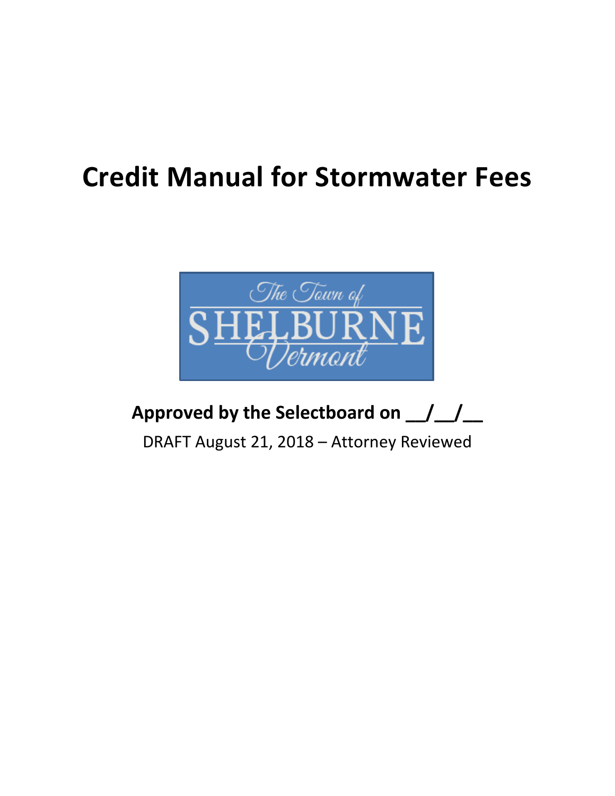## **Credit Manual for Stormwater Fees**



## **Approved by the Selectboard on \_\_/\_\_/\_\_**

DRAFT August 21, 2018 – Attorney Reviewed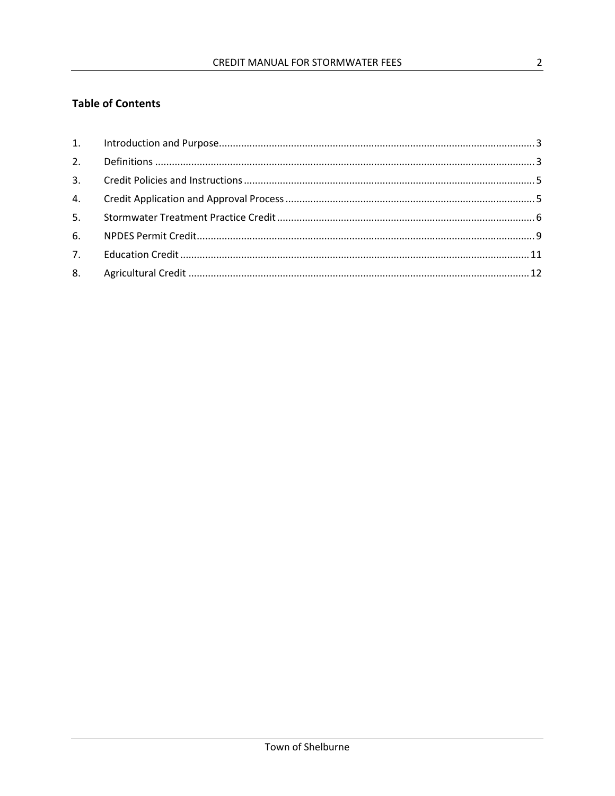#### **Table of Contents**

| 5. |  |
|----|--|
| 6. |  |
|    |  |
|    |  |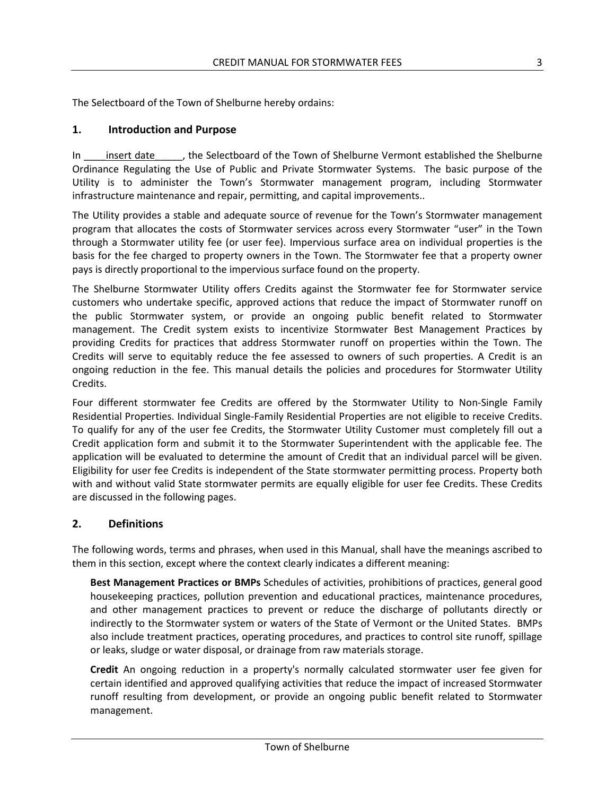The Selectboard of the Town of Shelburne hereby ordains:

#### <span id="page-34-0"></span>**1. Introduction and Purpose**

In insert date the Selectboard of the Town of Shelburne Vermont established the Shelburne Ordinance Regulating the Use of Public and Private Stormwater Systems. The basic purpose of the Utility is to administer the Town's Stormwater management program, including Stormwater infrastructure maintenance and repair, permitting, and capital improvements..

The Utility provides a stable and adequate source of revenue for the Town's Stormwater management program that allocates the costs of Stormwater services across every Stormwater "user" in the Town through a Stormwater utility fee (or user fee). Impervious surface area on individual properties is the basis for the fee charged to property owners in the Town. The Stormwater fee that a property owner pays is directly proportional to the impervious surface found on the property.

The Shelburne Stormwater Utility offers Credits against the Stormwater fee for Stormwater service customers who undertake specific, approved actions that reduce the impact of Stormwater runoff on the public Stormwater system, or provide an ongoing public benefit related to Stormwater management. The Credit system exists to incentivize Stormwater Best Management Practices by providing Credits for practices that address Stormwater runoff on properties within the Town. The Credits will serve to equitably reduce the fee assessed to owners of such properties. A Credit is an ongoing reduction in the fee. This manual details the policies and procedures for Stormwater Utility Credits.

Four different stormwater fee Credits are offered by the Stormwater Utility to Non-Single Family Residential Properties. Individual Single-Family Residential Properties are not eligible to receive Credits. To qualify for any of the user fee Credits, the Stormwater Utility Customer must completely fill out a Credit application form and submit it to the Stormwater Superintendent with the applicable fee. The application will be evaluated to determine the amount of Credit that an individual parcel will be given. Eligibility for user fee Credits is independent of the State stormwater permitting process. Property both with and without valid State stormwater permits are equally eligible for user fee Credits. These Credits are discussed in the following pages.

#### <span id="page-34-1"></span>**2. Definitions**

The following words, terms and phrases, when used in this Manual, shall have the meanings ascribed to them in this section, except where the context clearly indicates a different meaning:

**Best Management Practices or BMPs** Schedules of activities, prohibitions of practices, general good housekeeping practices, pollution prevention and educational practices, maintenance procedures, and other management practices to prevent or reduce the discharge of pollutants directly or indirectly to the Stormwater system or waters of the State of Vermont or the United States. BMPs also include treatment practices, operating procedures, and practices to control site runoff, spillage or leaks, sludge or water disposal, or drainage from raw materials storage.

**Credit** An ongoing reduction in a property's normally calculated stormwater user fee given for certain identified and approved qualifying activities that reduce the impact of increased Stormwater runoff resulting from development, or provide an ongoing public benefit related to Stormwater management.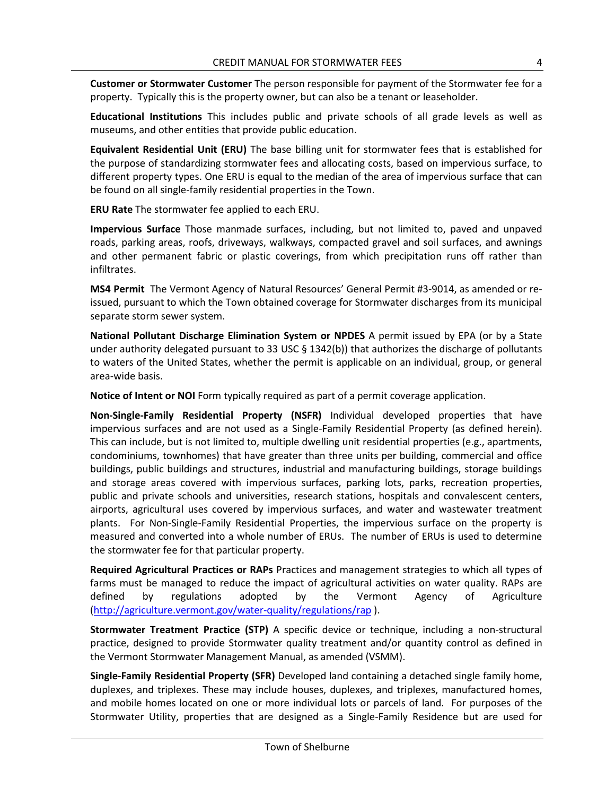**Customer or Stormwater Customer** The person responsible for payment of the Stormwater fee for a property. Typically this is the property owner, but can also be a tenant or leaseholder.

**Educational Institutions** This includes public and private schools of all grade levels as well as museums, and other entities that provide public education.

**Equivalent Residential Unit (ERU)** The base billing unit for stormwater fees that is established for the purpose of standardizing stormwater fees and allocating costs, based on impervious surface, to different property types. One ERU is equal to the median of the area of impervious surface that can be found on all single-family residential properties in the Town.

**ERU Rate** The stormwater fee applied to each ERU.

**Impervious Surface** Those manmade surfaces, including, but not limited to, paved and unpaved roads, parking areas, roofs, driveways, walkways, compacted gravel and soil surfaces, and awnings and other permanent fabric or plastic coverings, from which precipitation runs off rather than infiltrates.

**MS4 Permit** The Vermont Agency of Natural Resources' General Permit #3-9014, as amended or reissued, pursuant to which the Town obtained coverage for Stormwater discharges from its municipal separate storm sewer system.

**National Pollutant Discharge Elimination System or NPDES** A permit issued by EPA (or by a State under authority delegated pursuant to 33 USC  $\S$  1342(b)) that authorizes the discharge of pollutants to waters of the United States, whether the permit is applicable on an individual, group, or general area-wide basis.

**Notice of Intent or NOI** Form typically required as part of a permit coverage application.

**Non-Single-Family Residential Property (NSFR)** Individual developed properties that have impervious surfaces and are not used as a Single-Family Residential Property (as defined herein). This can include, but is not limited to, multiple dwelling unit residential properties (e.g., apartments, condominiums, townhomes) that have greater than three units per building, commercial and office buildings, public buildings and structures, industrial and manufacturing buildings, storage buildings and storage areas covered with impervious surfaces, parking lots, parks, recreation properties, public and private schools and universities, research stations, hospitals and convalescent centers, airports, agricultural uses covered by impervious surfaces, and water and wastewater treatment plants. For Non-Single-Family Residential Properties, the impervious surface on the property is measured and converted into a whole number of ERUs. The number of ERUs is used to determine the stormwater fee for that particular property.

**Required Agricultural Practices or RAPs** Practices and management strategies to which all types of farms must be managed to reduce the impact of agricultural activities on water quality. RAPs are defined by regulations adopted by the Vermont Agency of Agriculture [\(http://agriculture.vermont.gov/water-quality/regulations/rap](http://agriculture.vermont.gov/water-quality/regulations/rap) ).

**Stormwater Treatment Practice (STP)** A specific device or technique, including a non-structural practice, designed to provide Stormwater quality treatment and/or quantity control as defined in the Vermont Stormwater Management Manual, as amended (VSMM).

**Single-Family Residential Property (SFR)** Developed land containing a detached single family home, duplexes, and triplexes. These may include houses, duplexes, and triplexes, manufactured homes, and mobile homes located on one or more individual lots or parcels of land. For purposes of the Stormwater Utility, properties that are designed as a Single-Family Residence but are used for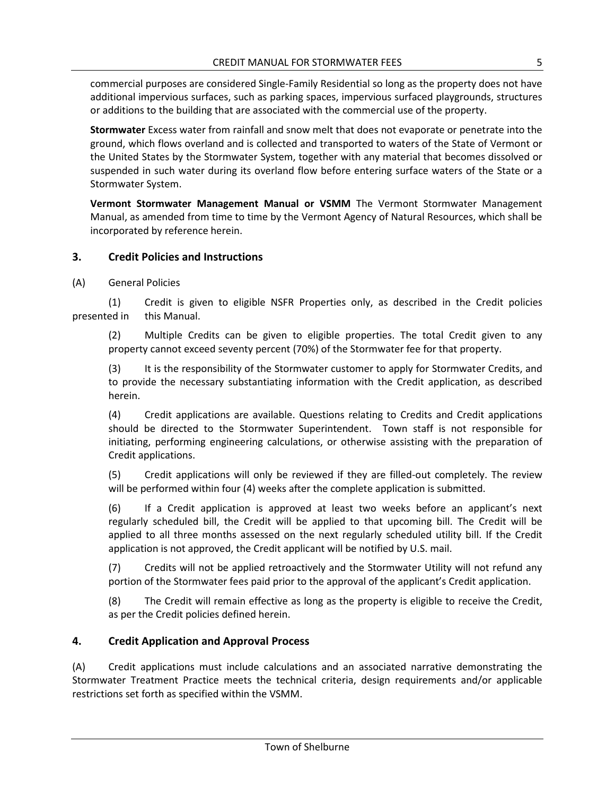commercial purposes are considered Single-Family Residential so long as the property does not have additional impervious surfaces, such as parking spaces, impervious surfaced playgrounds, structures or additions to the building that are associated with the commercial use of the property.

**Stormwater** Excess water from rainfall and snow melt that does not evaporate or penetrate into the ground, which flows overland and is collected and transported to waters of the State of Vermont or the United States by the Stormwater System, together with any material that becomes dissolved or suspended in such water during its overland flow before entering surface waters of the State or a Stormwater System.

**Vermont Stormwater Management Manual or VSMM** The Vermont Stormwater Management Manual, as amended from time to time by the Vermont Agency of Natural Resources, which shall be incorporated by reference herein.

#### <span id="page-36-0"></span>**3. Credit Policies and Instructions**

(A) General Policies

(1) Credit is given to eligible NSFR Properties only, as described in the Credit policies presented in this Manual.

(2) Multiple Credits can be given to eligible properties. The total Credit given to any property cannot exceed seventy percent (70%) of the Stormwater fee for that property.

(3) It is the responsibility of the Stormwater customer to apply for Stormwater Credits, and to provide the necessary substantiating information with the Credit application, as described herein.

(4) Credit applications are available. Questions relating to Credits and Credit applications should be directed to the Stormwater Superintendent. Town staff is not responsible for initiating, performing engineering calculations, or otherwise assisting with the preparation of Credit applications.

(5) Credit applications will only be reviewed if they are filled-out completely. The review will be performed within four (4) weeks after the complete application is submitted.

(6) If a Credit application is approved at least two weeks before an applicant's next regularly scheduled bill, the Credit will be applied to that upcoming bill. The Credit will be applied to all three months assessed on the next regularly scheduled utility bill. If the Credit application is not approved, the Credit applicant will be notified by U.S. mail.

(7) Credits will not be applied retroactively and the Stormwater Utility will not refund any portion of the Stormwater fees paid prior to the approval of the applicant's Credit application.

(8) The Credit will remain effective as long as the property is eligible to receive the Credit, as per the Credit policies defined herein.

#### <span id="page-36-1"></span>**4. Credit Application and Approval Process**

(A) Credit applications must include calculations and an associated narrative demonstrating the Stormwater Treatment Practice meets the technical criteria, design requirements and/or applicable restrictions set forth as specified within the VSMM.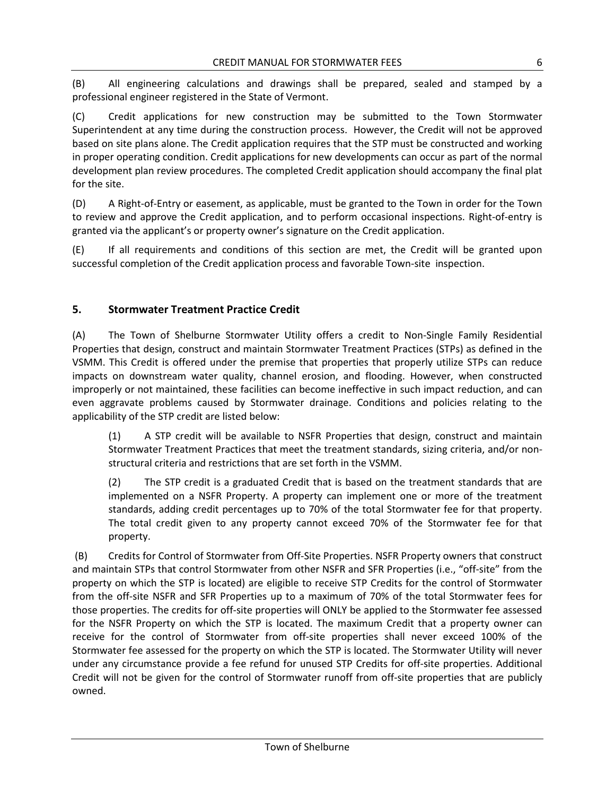(B) All engineering calculations and drawings shall be prepared, sealed and stamped by a professional engineer registered in the State of Vermont.

(C) Credit applications for new construction may be submitted to the Town Stormwater Superintendent at any time during the construction process. However, the Credit will not be approved based on site plans alone. The Credit application requires that the STP must be constructed and working in proper operating condition. Credit applications for new developments can occur as part of the normal development plan review procedures. The completed Credit application should accompany the final plat for the site.

(D) A Right-of-Entry or easement, as applicable, must be granted to the Town in order for the Town to review and approve the Credit application, and to perform occasional inspections. Right-of-entry is granted via the applicant's or property owner's signature on the Credit application.

(E) If all requirements and conditions of this section are met, the Credit will be granted upon successful completion of the Credit application process and favorable Town-site inspection.

#### <span id="page-37-0"></span>**5. Stormwater Treatment Practice Credit**

(A) The Town of Shelburne Stormwater Utility offers a credit to Non-Single Family Residential Properties that design, construct and maintain Stormwater Treatment Practices (STPs) as defined in the VSMM. This Credit is offered under the premise that properties that properly utilize STPs can reduce impacts on downstream water quality, channel erosion, and flooding. However, when constructed improperly or not maintained, these facilities can become ineffective in such impact reduction, and can even aggravate problems caused by Stormwater drainage. Conditions and policies relating to the applicability of the STP credit are listed below:

(1) A STP credit will be available to NSFR Properties that design, construct and maintain Stormwater Treatment Practices that meet the treatment standards, sizing criteria, and/or nonstructural criteria and restrictions that are set forth in the VSMM.

(2) The STP credit is a graduated Credit that is based on the treatment standards that are implemented on a NSFR Property. A property can implement one or more of the treatment standards, adding credit percentages up to 70% of the total Stormwater fee for that property. The total credit given to any property cannot exceed 70% of the Stormwater fee for that property.

(B) Credits for Control of Stormwater from Off-Site Properties. NSFR Property owners that construct and maintain STPs that control Stormwater from other NSFR and SFR Properties (i.e., "off-site" from the property on which the STP is located) are eligible to receive STP Credits for the control of Stormwater from the off-site NSFR and SFR Properties up to a maximum of 70% of the total Stormwater fees for those properties. The credits for off-site properties will ONLY be applied to the Stormwater fee assessed for the NSFR Property on which the STP is located. The maximum Credit that a property owner can receive for the control of Stormwater from off-site properties shall never exceed 100% of the Stormwater fee assessed for the property on which the STP is located. The Stormwater Utility will never under any circumstance provide a fee refund for unused STP Credits for off-site properties. Additional Credit will not be given for the control of Stormwater runoff from off-site properties that are publicly owned.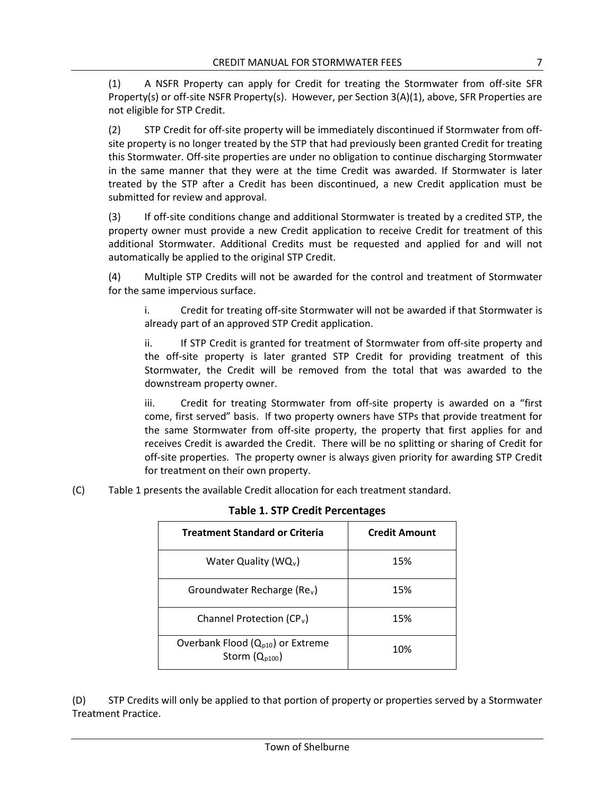(1) A NSFR Property can apply for Credit for treating the Stormwater from off-site SFR Property(s) or off-site NSFR Property(s). However, per Section 3(A)(1), above, SFR Properties are not eligible for STP Credit.

(2) STP Credit for off-site property will be immediately discontinued if Stormwater from offsite property is no longer treated by the STP that had previously been granted Credit for treating this Stormwater. Off-site properties are under no obligation to continue discharging Stormwater in the same manner that they were at the time Credit was awarded. If Stormwater is later treated by the STP after a Credit has been discontinued, a new Credit application must be submitted for review and approval.

(3) If off-site conditions change and additional Stormwater is treated by a credited STP, the property owner must provide a new Credit application to receive Credit for treatment of this additional Stormwater. Additional Credits must be requested and applied for and will not automatically be applied to the original STP Credit.

(4) Multiple STP Credits will not be awarded for the control and treatment of Stormwater for the same impervious surface.

i. Credit for treating off-site Stormwater will not be awarded if that Stormwater is already part of an approved STP Credit application.

ii. If STP Credit is granted for treatment of Stormwater from off-site property and the off-site property is later granted STP Credit for providing treatment of this Stormwater, the Credit will be removed from the total that was awarded to the downstream property owner.

iii. Credit for treating Stormwater from off-site property is awarded on a "first come, first served" basis. If two property owners have STPs that provide treatment for the same Stormwater from off-site property, the property that first applies for and receives Credit is awarded the Credit. There will be no splitting or sharing of Credit for off-site properties. The property owner is always given priority for awarding STP Credit for treatment on their own property.

(C) Table 1 presents the available Credit allocation for each treatment standard.

| <b>Treatment Standard or Criteria</b>                       | <b>Credit Amount</b> |  |  |
|-------------------------------------------------------------|----------------------|--|--|
| Water Quality ( $WQ_v$ )                                    | 15%                  |  |  |
| Groundwater Recharge ( $Rev$ )                              | 15%                  |  |  |
| Channel Protection (CP <sub>v</sub> )                       | 15%                  |  |  |
| Overbank Flood $(Q_{p10})$ or Extreme<br>Storm $(Q_{p100})$ | 10%                  |  |  |

#### **Table 1. STP Credit Percentages**

(D) STP Credits will only be applied to that portion of property or properties served by a Stormwater Treatment Practice.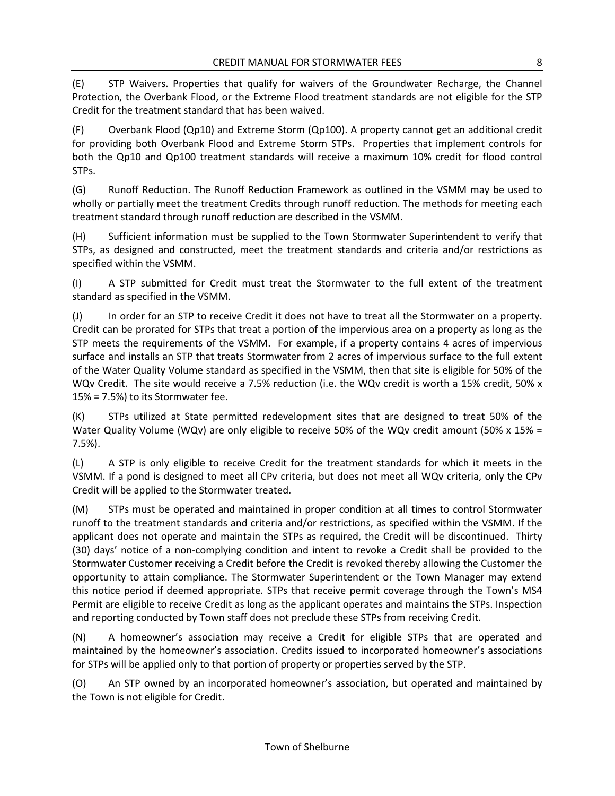(E) STP Waivers. Properties that qualify for waivers of the Groundwater Recharge, the Channel Protection, the Overbank Flood, or the Extreme Flood treatment standards are not eligible for the STP Credit for the treatment standard that has been waived.

(F) Overbank Flood (Qp10) and Extreme Storm (Qp100). A property cannot get an additional credit for providing both Overbank Flood and Extreme Storm STPs. Properties that implement controls for both the Qp10 and Qp100 treatment standards will receive a maximum 10% credit for flood control STPs.

(G) Runoff Reduction. The Runoff Reduction Framework as outlined in the VSMM may be used to wholly or partially meet the treatment Credits through runoff reduction. The methods for meeting each treatment standard through runoff reduction are described in the VSMM.

(H) Sufficient information must be supplied to the Town Stormwater Superintendent to verify that STPs, as designed and constructed, meet the treatment standards and criteria and/or restrictions as specified within the VSMM.

(I) A STP submitted for Credit must treat the Stormwater to the full extent of the treatment standard as specified in the VSMM.

(J) In order for an STP to receive Credit it does not have to treat all the Stormwater on a property. Credit can be prorated for STPs that treat a portion of the impervious area on a property as long as the STP meets the requirements of the VSMM. For example, if a property contains 4 acres of impervious surface and installs an STP that treats Stormwater from 2 acres of impervious surface to the full extent of the Water Quality Volume standard as specified in the VSMM, then that site is eligible for 50% of the WQv Credit. The site would receive a 7.5% reduction (i.e. the WQv credit is worth a 15% credit, 50% x 15% = 7.5%) to its Stormwater fee.

(K) STPs utilized at State permitted redevelopment sites that are designed to treat 50% of the Water Quality Volume (WQv) are only eligible to receive 50% of the WQv credit amount (50% x 15% = 7.5%).

(L) A STP is only eligible to receive Credit for the treatment standards for which it meets in the VSMM. If a pond is designed to meet all CPv criteria, but does not meet all WQv criteria, only the CPv Credit will be applied to the Stormwater treated.

(M) STPs must be operated and maintained in proper condition at all times to control Stormwater runoff to the treatment standards and criteria and/or restrictions, as specified within the VSMM. If the applicant does not operate and maintain the STPs as required, the Credit will be discontinued. Thirty (30) days' notice of a non-complying condition and intent to revoke a Credit shall be provided to the Stormwater Customer receiving a Credit before the Credit is revoked thereby allowing the Customer the opportunity to attain compliance. The Stormwater Superintendent or the Town Manager may extend this notice period if deemed appropriate. STPs that receive permit coverage through the Town's MS4 Permit are eligible to receive Credit as long as the applicant operates and maintains the STPs. Inspection and reporting conducted by Town staff does not preclude these STPs from receiving Credit.

(N) A homeowner's association may receive a Credit for eligible STPs that are operated and maintained by the homeowner's association. Credits issued to incorporated homeowner's associations for STPs will be applied only to that portion of property or properties served by the STP.

(O) An STP owned by an incorporated homeowner's association, but operated and maintained by the Town is not eligible for Credit.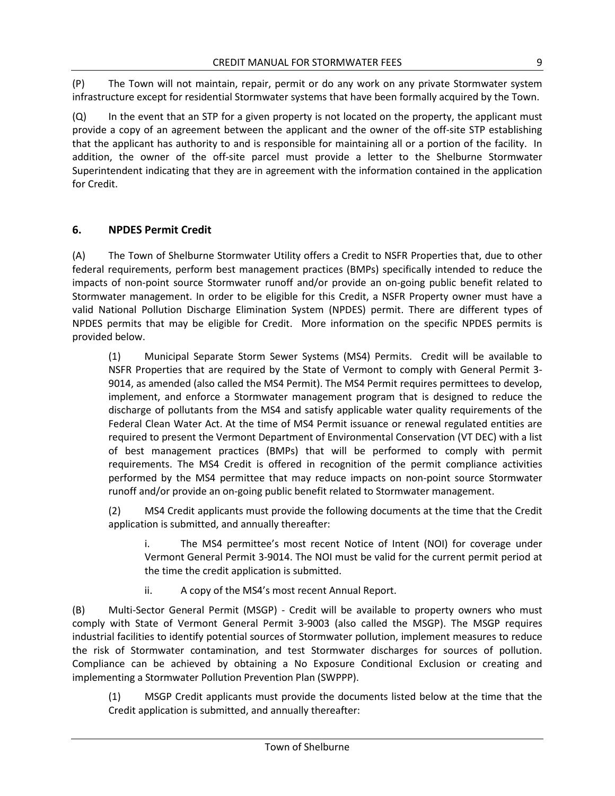(P) The Town will not maintain, repair, permit or do any work on any private Stormwater system infrastructure except for residential Stormwater systems that have been formally acquired by the Town.

(Q) In the event that an STP for a given property is not located on the property, the applicant must provide a copy of an agreement between the applicant and the owner of the off-site STP establishing that the applicant has authority to and is responsible for maintaining all or a portion of the facility. In addition, the owner of the off-site parcel must provide a letter to the Shelburne Stormwater Superintendent indicating that they are in agreement with the information contained in the application for Credit.

#### <span id="page-40-0"></span>**6. NPDES Permit Credit**

(A) The Town of Shelburne Stormwater Utility offers a Credit to NSFR Properties that, due to other federal requirements, perform best management practices (BMPs) specifically intended to reduce the impacts of non-point source Stormwater runoff and/or provide an on-going public benefit related to Stormwater management. In order to be eligible for this Credit, a NSFR Property owner must have a valid National Pollution Discharge Elimination System (NPDES) permit. There are different types of NPDES permits that may be eligible for Credit. More information on the specific NPDES permits is provided below.

(1) Municipal Separate Storm Sewer Systems (MS4) Permits. Credit will be available to NSFR Properties that are required by the State of Vermont to comply with General Permit 3- 9014, as amended (also called the MS4 Permit). The MS4 Permit requires permittees to develop, implement, and enforce a Stormwater management program that is designed to reduce the discharge of pollutants from the MS4 and satisfy applicable water quality requirements of the Federal Clean Water Act. At the time of MS4 Permit issuance or renewal regulated entities are required to present the Vermont Department of Environmental Conservation (VT DEC) with a list of best management practices (BMPs) that will be performed to comply with permit requirements. The MS4 Credit is offered in recognition of the permit compliance activities performed by the MS4 permittee that may reduce impacts on non-point source Stormwater runoff and/or provide an on-going public benefit related to Stormwater management.

(2) MS4 Credit applicants must provide the following documents at the time that the Credit application is submitted, and annually thereafter:

i. The MS4 permittee's most recent Notice of Intent (NOI) for coverage under Vermont General Permit 3-9014. The NOI must be valid for the current permit period at the time the credit application is submitted.

ii. A copy of the MS4's most recent Annual Report.

(B) Multi-Sector General Permit (MSGP) - Credit will be available to property owners who must comply with State of Vermont General Permit 3-9003 (also called the MSGP). The MSGP requires industrial facilities to identify potential sources of Stormwater pollution, implement measures to reduce the risk of Stormwater contamination, and test Stormwater discharges for sources of pollution. Compliance can be achieved by obtaining a No Exposure Conditional Exclusion or creating and implementing a Stormwater Pollution Prevention Plan (SWPPP).

(1) MSGP Credit applicants must provide the documents listed below at the time that the Credit application is submitted, and annually thereafter: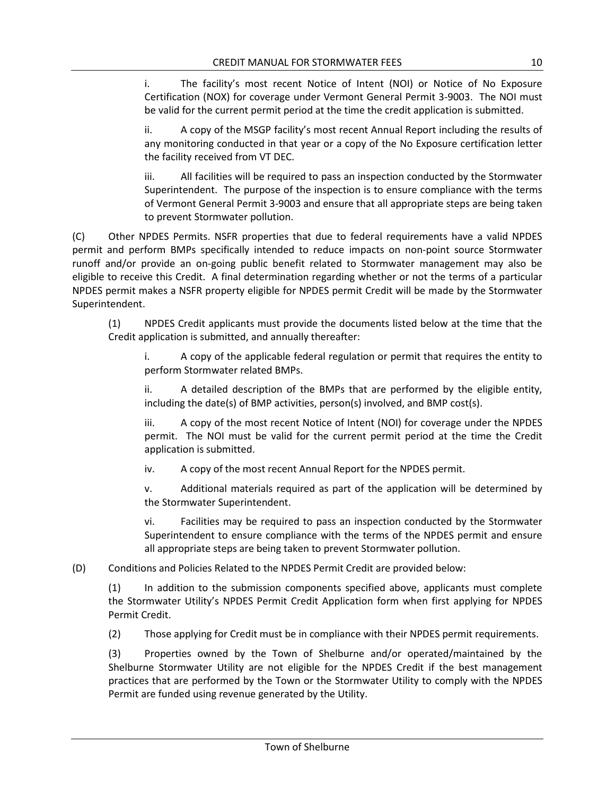i. The facility's most recent Notice of Intent (NOI) or Notice of No Exposure Certification (NOX) for coverage under Vermont General Permit 3-9003. The NOI must be valid for the current permit period at the time the credit application is submitted.

ii. A copy of the MSGP facility's most recent Annual Report including the results of any monitoring conducted in that year or a copy of the No Exposure certification letter the facility received from VT DEC.

iii. All facilities will be required to pass an inspection conducted by the Stormwater Superintendent. The purpose of the inspection is to ensure compliance with the terms of Vermont General Permit 3-9003 and ensure that all appropriate steps are being taken to prevent Stormwater pollution.

(C) Other NPDES Permits. NSFR properties that due to federal requirements have a valid NPDES permit and perform BMPs specifically intended to reduce impacts on non-point source Stormwater runoff and/or provide an on-going public benefit related to Stormwater management may also be eligible to receive this Credit. A final determination regarding whether or not the terms of a particular NPDES permit makes a NSFR property eligible for NPDES permit Credit will be made by the Stormwater Superintendent.

(1) NPDES Credit applicants must provide the documents listed below at the time that the Credit application is submitted, and annually thereafter:

i. A copy of the applicable federal regulation or permit that requires the entity to perform Stormwater related BMPs.

ii. A detailed description of the BMPs that are performed by the eligible entity, including the date(s) of BMP activities, person(s) involved, and BMP cost(s).

iii. A copy of the most recent Notice of Intent (NOI) for coverage under the NPDES permit. The NOI must be valid for the current permit period at the time the Credit application is submitted.

iv. A copy of the most recent Annual Report for the NPDES permit.

v. Additional materials required as part of the application will be determined by the Stormwater Superintendent.

vi. Facilities may be required to pass an inspection conducted by the Stormwater Superintendent to ensure compliance with the terms of the NPDES permit and ensure all appropriate steps are being taken to prevent Stormwater pollution.

(D) Conditions and Policies Related to the NPDES Permit Credit are provided below:

(1) In addition to the submission components specified above, applicants must complete the Stormwater Utility's NPDES Permit Credit Application form when first applying for NPDES Permit Credit.

(2) Those applying for Credit must be in compliance with their NPDES permit requirements.

(3) Properties owned by the Town of Shelburne and/or operated/maintained by the Shelburne Stormwater Utility are not eligible for the NPDES Credit if the best management practices that are performed by the Town or the Stormwater Utility to comply with the NPDES Permit are funded using revenue generated by the Utility.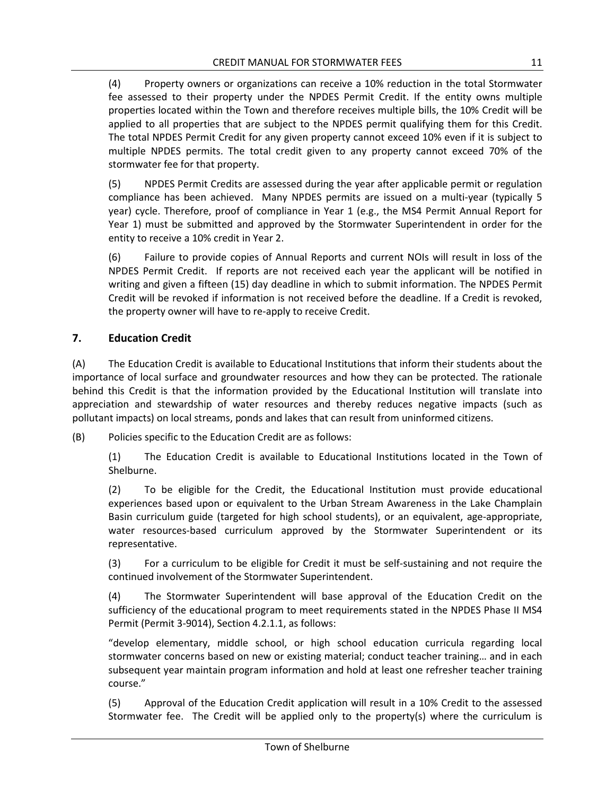(4) Property owners or organizations can receive a 10% reduction in the total Stormwater fee assessed to their property under the NPDES Permit Credit. If the entity owns multiple properties located within the Town and therefore receives multiple bills, the 10% Credit will be applied to all properties that are subject to the NPDES permit qualifying them for this Credit. The total NPDES Permit Credit for any given property cannot exceed 10% even if it is subject to multiple NPDES permits. The total credit given to any property cannot exceed 70% of the stormwater fee for that property.

(5) NPDES Permit Credits are assessed during the year after applicable permit or regulation compliance has been achieved. Many NPDES permits are issued on a multi-year (typically 5 year) cycle. Therefore, proof of compliance in Year 1 (e.g., the MS4 Permit Annual Report for Year 1) must be submitted and approved by the Stormwater Superintendent in order for the entity to receive a 10% credit in Year 2.

(6) Failure to provide copies of Annual Reports and current NOIs will result in loss of the NPDES Permit Credit. If reports are not received each year the applicant will be notified in writing and given a fifteen (15) day deadline in which to submit information. The NPDES Permit Credit will be revoked if information is not received before the deadline. If a Credit is revoked, the property owner will have to re-apply to receive Credit.

#### <span id="page-42-0"></span>**7. Education Credit**

(A) The Education Credit is available to Educational Institutions that inform their students about the importance of local surface and groundwater resources and how they can be protected. The rationale behind this Credit is that the information provided by the Educational Institution will translate into appreciation and stewardship of water resources and thereby reduces negative impacts (such as pollutant impacts) on local streams, ponds and lakes that can result from uninformed citizens.

(B) Policies specific to the Education Credit are as follows:

(1) The Education Credit is available to Educational Institutions located in the Town of Shelburne.

(2) To be eligible for the Credit, the Educational Institution must provide educational experiences based upon or equivalent to the Urban Stream Awareness in the Lake Champlain Basin curriculum guide (targeted for high school students), or an equivalent, age-appropriate, water resources-based curriculum approved by the Stormwater Superintendent or its representative.

(3) For a curriculum to be eligible for Credit it must be self-sustaining and not require the continued involvement of the Stormwater Superintendent.

(4) The Stormwater Superintendent will base approval of the Education Credit on the sufficiency of the educational program to meet requirements stated in the NPDES Phase II MS4 Permit (Permit 3-9014), Section 4.2.1.1, as follows:

"develop elementary, middle school, or high school education curricula regarding local stormwater concerns based on new or existing material; conduct teacher training… and in each subsequent year maintain program information and hold at least one refresher teacher training course."

(5) Approval of the Education Credit application will result in a 10% Credit to the assessed Stormwater fee. The Credit will be applied only to the property(s) where the curriculum is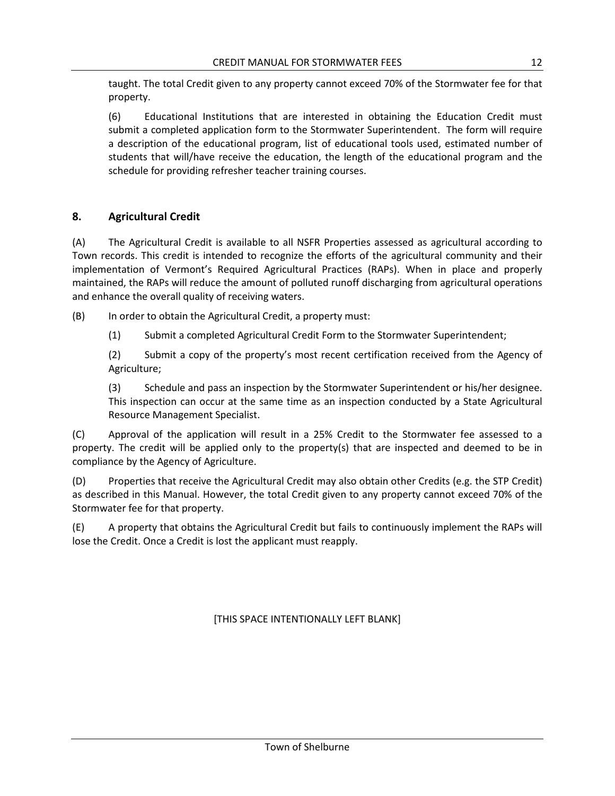taught. The total Credit given to any property cannot exceed 70% of the Stormwater fee for that property.

(6) Educational Institutions that are interested in obtaining the Education Credit must submit a completed application form to the Stormwater Superintendent. The form will require a description of the educational program, list of educational tools used, estimated number of students that will/have receive the education, the length of the educational program and the schedule for providing refresher teacher training courses.

#### <span id="page-43-0"></span>**8. Agricultural Credit**

(A) The Agricultural Credit is available to all NSFR Properties assessed as agricultural according to Town records. This credit is intended to recognize the efforts of the agricultural community and their implementation of Vermont's Required Agricultural Practices (RAPs). When in place and properly maintained, the RAPs will reduce the amount of polluted runoff discharging from agricultural operations and enhance the overall quality of receiving waters.

(B) In order to obtain the Agricultural Credit, a property must:

(1) Submit a completed Agricultural Credit Form to the Stormwater Superintendent;

(2) Submit a copy of the property's most recent certification received from the Agency of Agriculture;

(3) Schedule and pass an inspection by the Stormwater Superintendent or his/her designee. This inspection can occur at the same time as an inspection conducted by a State Agricultural Resource Management Specialist.

(C) Approval of the application will result in a 25% Credit to the Stormwater fee assessed to a property. The credit will be applied only to the property(s) that are inspected and deemed to be in compliance by the Agency of Agriculture.

(D) Properties that receive the Agricultural Credit may also obtain other Credits (e.g. the STP Credit) as described in this Manual. However, the total Credit given to any property cannot exceed 70% of the Stormwater fee for that property.

(E) A property that obtains the Agricultural Credit but fails to continuously implement the RAPs will lose the Credit. Once a Credit is lost the applicant must reapply.

[THIS SPACE INTENTIONALLY LEFT BLANK]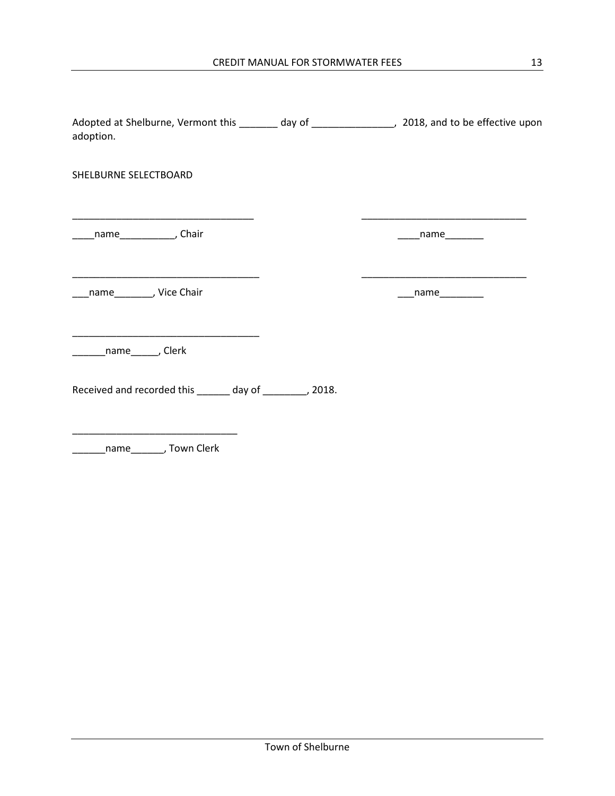| Adopted at Shelburne, Vermont this ________ day of ___________________, 2018, and to be effective upon<br>adoption. |                                                                                                                                           |
|---------------------------------------------------------------------------------------------------------------------|-------------------------------------------------------------------------------------------------------------------------------------------|
| SHELBURNE SELECTBOARD                                                                                               |                                                                                                                                           |
| <u> 1989 - Johann John Stone, market francuski filozof (d. 1989)</u><br>____name_______________, Chair              | <u> 1999 - Johann Harry Barn, mars and de Branch and de Branch and de Branch and de Branch and de Branch and de Br</u><br>$\sqrt{2}$ name |
| name_________, Vice Chair                                                                                           | ___name_________                                                                                                                          |
| <u> 1989 - Johann Stein, mars et al. (1989)</u><br>_________name________, Clerk                                     |                                                                                                                                           |
| Received and recorded this ______ day of _______, 2018.                                                             |                                                                                                                                           |

\_\_\_\_\_\_name\_\_\_\_\_\_, Town Clerk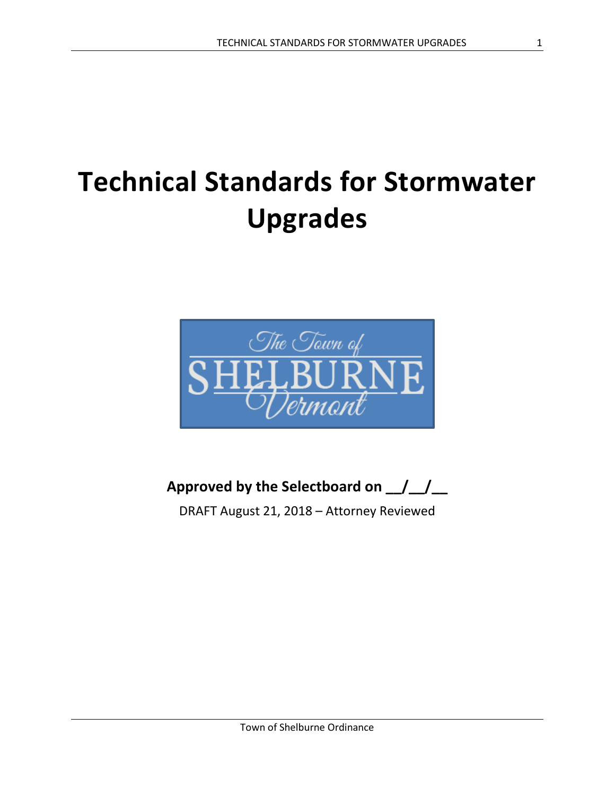## **Technical Standards for Stormwater Upgrades**



**Approved by the Selectboard on \_\_/\_\_/\_\_**

DRAFT August 21, 2018 – Attorney Reviewed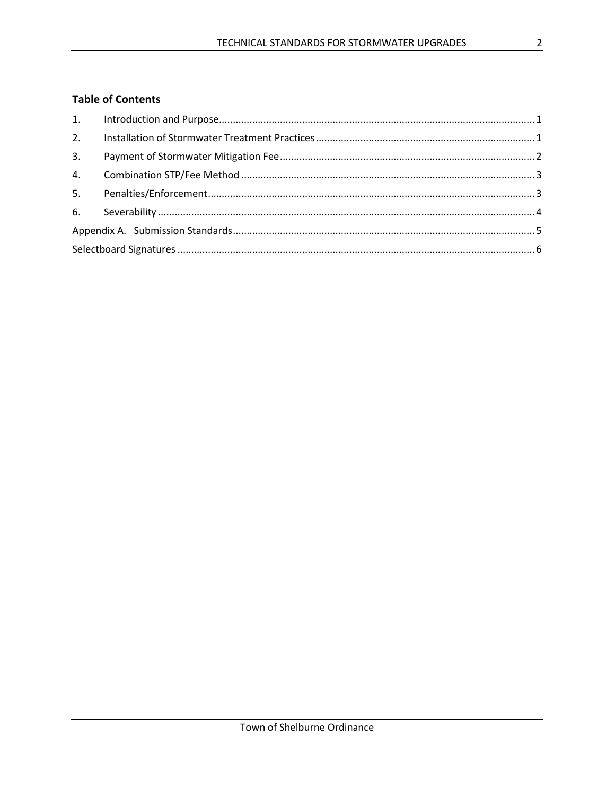#### **Table of Contents**

| 3. |  |
|----|--|
|    |  |
|    |  |
|    |  |
|    |  |
|    |  |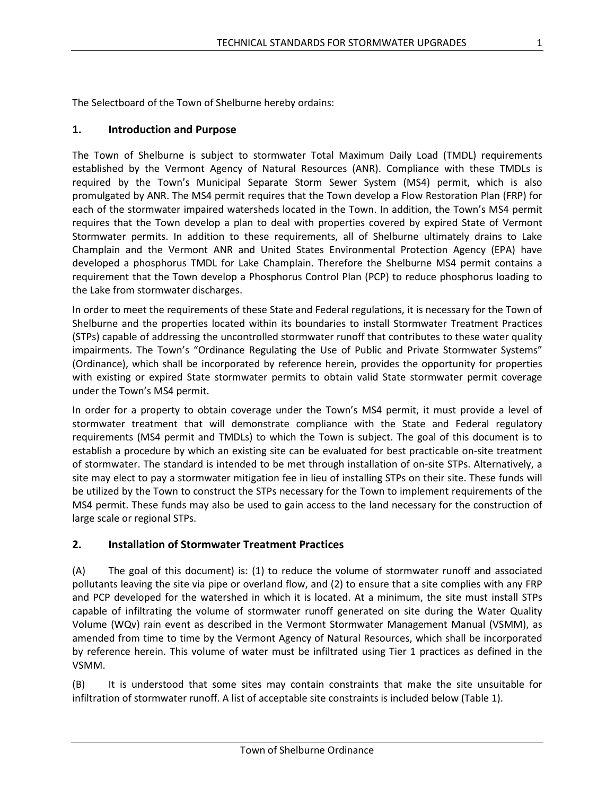The Selectboard of the Town of Shelburne hereby ordains:

#### <span id="page-47-0"></span>**1. Introduction and Purpose**

The Town of Shelburne is subject to stormwater Total Maximum Daily Load (TMDL) requirements established by the Vermont Agency of Natural Resources (ANR). Compliance with these TMDLs is required by the Town's Municipal Separate Storm Sewer System (MS4) permit, which is also promulgated by ANR. The MS4 permit requires that the Town develop a Flow Restoration Plan (FRP) for each of the stormwater impaired watersheds located in the Town. In addition, the Town's MS4 permit requires that the Town develop a plan to deal with properties covered by expired State of Vermont Stormwater permits. In addition to these requirements, all of Shelburne ultimately drains to Lake Champlain and the Vermont ANR and United States Environmental Protection Agency (EPA) have developed a phosphorus TMDL for Lake Champlain. Therefore the Shelburne MS4 permit contains a requirement that the Town develop a Phosphorus Control Plan (PCP) to reduce phosphorus loading to the Lake from stormwater discharges.

In order to meet the requirements of these State and Federal regulations, it is necessary for the Town of Shelburne and the properties located within its boundaries to install Stormwater Treatment Practices (STPs) capable of addressing the uncontrolled stormwater runoff that contributes to these water quality impairments. The Town's "Ordinance Regulating the Use of Public and Private Stormwater Systems" (Ordinance), which shall be incorporated by reference herein, provides the opportunity for properties with existing or expired State stormwater permits to obtain valid State stormwater permit coverage under the Town's MS4 permit.

In order for a property to obtain coverage under the Town's MS4 permit, it must provide a level of stormwater treatment that will demonstrate compliance with the State and Federal regulatory requirements (MS4 permit and TMDLs) to which the Town is subject. The goal of this document is to establish a procedure by which an existing site can be evaluated for best practicable on-site treatment of stormwater. The standard is intended to be met through installation of on-site STPs. Alternatively, a site may elect to pay a stormwater mitigation fee in lieu of installing STPs on their site. These funds will be utilized by the Town to construct the STPs necessary for the Town to implement requirements of the MS4 permit. These funds may also be used to gain access to the land necessary for the construction of large scale or regional STPs.

#### <span id="page-47-1"></span>**2. Installation of Stormwater Treatment Practices**

(A) The goal of this document) is: (1) to reduce the volume of stormwater runoff and associated pollutants leaving the site via pipe or overland flow, and (2) to ensure that a site complies with any FRP and PCP developed for the watershed in which it is located. At a minimum, the site must install STPs capable of infiltrating the volume of stormwater runoff generated on site during the Water Quality Volume (WQv) rain event as described in the Vermont Stormwater Management Manual (VSMM), as amended from time to time by the Vermont Agency of Natural Resources, which shall be incorporated by reference herein. This volume of water must be infiltrated using Tier 1 practices as defined in the VSMM.

(B) It is understood that some sites may contain constraints that make the site unsuitable for infiltration of stormwater runoff. A list of acceptable site constraints is included below (Table 1).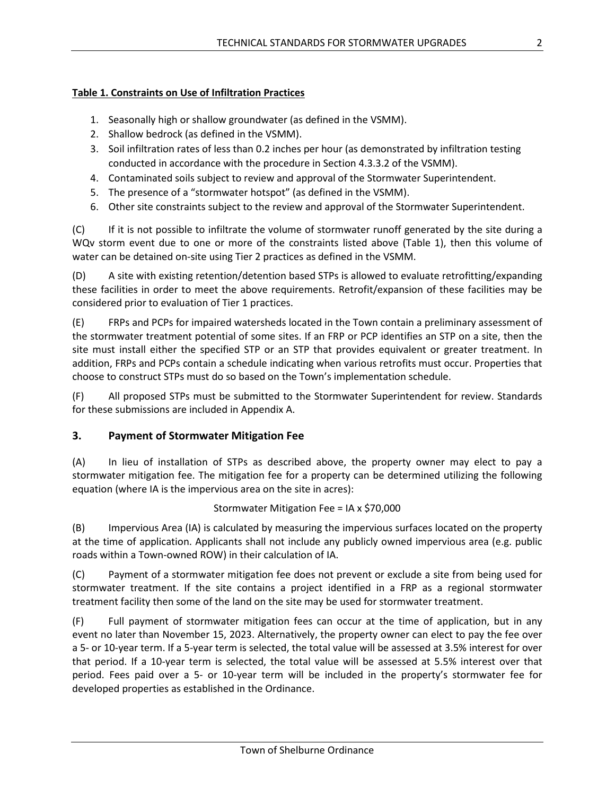#### **Table 1. Constraints on Use of Infiltration Practices**

- 1. Seasonally high or shallow groundwater (as defined in the VSMM).
- 2. Shallow bedrock (as defined in the VSMM).
- 3. Soil infiltration rates of less than 0.2 inches per hour (as demonstrated by infiltration testing conducted in accordance with the procedure in Section 4.3.3.2 of the VSMM).
- 4. Contaminated soils subject to review and approval of the Stormwater Superintendent.
- 5. The presence of a "stormwater hotspot" (as defined in the VSMM).
- 6. Other site constraints subject to the review and approval of the Stormwater Superintendent.

(C) If it is not possible to infiltrate the volume of stormwater runoff generated by the site during a WQv storm event due to one or more of the constraints listed above (Table 1), then this volume of water can be detained on-site using Tier 2 practices as defined in the VSMM.

(D) A site with existing retention/detention based STPs is allowed to evaluate retrofitting/expanding these facilities in order to meet the above requirements. Retrofit/expansion of these facilities may be considered prior to evaluation of Tier 1 practices.

(E) FRPs and PCPs for impaired watersheds located in the Town contain a preliminary assessment of the stormwater treatment potential of some sites. If an FRP or PCP identifies an STP on a site, then the site must install either the specified STP or an STP that provides equivalent or greater treatment. In addition, FRPs and PCPs contain a schedule indicating when various retrofits must occur. Properties that choose to construct STPs must do so based on the Town's implementation schedule.

(F) All proposed STPs must be submitted to the Stormwater Superintendent for review. Standards for these submissions are included in Appendix A.

#### <span id="page-48-0"></span>**3. Payment of Stormwater Mitigation Fee**

(A) In lieu of installation of STPs as described above, the property owner may elect to pay a stormwater mitigation fee. The mitigation fee for a property can be determined utilizing the following equation (where IA is the impervious area on the site in acres):

#### Stormwater Mitigation Fee = IA x \$70,000

(B) Impervious Area (IA) is calculated by measuring the impervious surfaces located on the property at the time of application. Applicants shall not include any publicly owned impervious area (e.g. public roads within a Town-owned ROW) in their calculation of IA.

(C) Payment of a stormwater mitigation fee does not prevent or exclude a site from being used for stormwater treatment. If the site contains a project identified in a FRP as a regional stormwater treatment facility then some of the land on the site may be used for stormwater treatment.

(F) Full payment of stormwater mitigation fees can occur at the time of application, but in any event no later than November 15, 2023. Alternatively, the property owner can elect to pay the fee over a 5- or 10-year term. If a 5-year term is selected, the total value will be assessed at 3.5% interest for over that period. If a 10-year term is selected, the total value will be assessed at 5.5% interest over that period. Fees paid over a 5- or 10-year term will be included in the property's stormwater fee for developed properties as established in the Ordinance.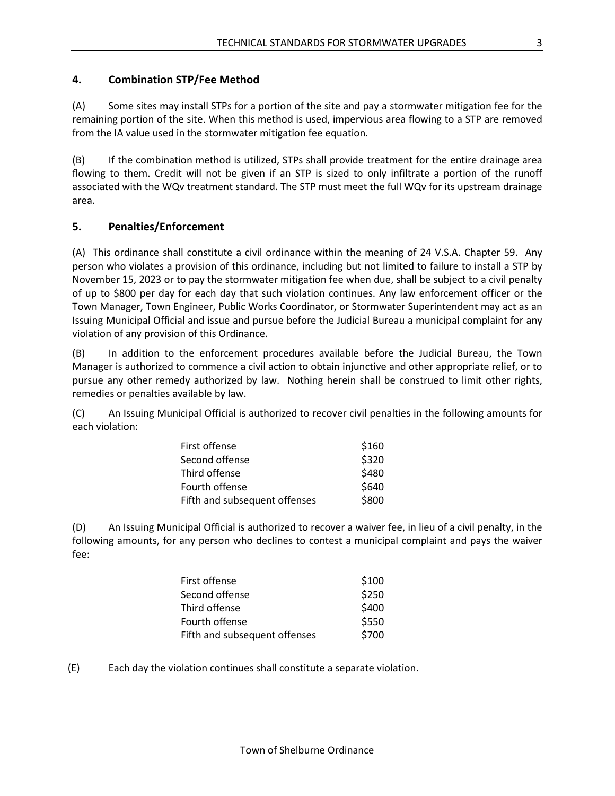#### <span id="page-49-0"></span>**4. Combination STP/Fee Method**

(A) Some sites may install STPs for a portion of the site and pay a stormwater mitigation fee for the remaining portion of the site. When this method is used, impervious area flowing to a STP are removed from the IA value used in the stormwater mitigation fee equation.

(B) If the combination method is utilized, STPs shall provide treatment for the entire drainage area flowing to them. Credit will not be given if an STP is sized to only infiltrate a portion of the runoff associated with the WQv treatment standard. The STP must meet the full WQv for its upstream drainage area.

#### <span id="page-49-1"></span>**5. Penalties/Enforcement**

(A) This ordinance shall constitute a civil ordinance within the meaning of 24 V.S.A. Chapter 59. Any person who violates a provision of this ordinance, including but not limited to failure to install a STP by November 15, 2023 or to pay the stormwater mitigation fee when due, shall be subject to a civil penalty of up to \$800 per day for each day that such violation continues. Any law enforcement officer or the Town Manager, Town Engineer, Public Works Coordinator, or Stormwater Superintendent may act as an Issuing Municipal Official and issue and pursue before the Judicial Bureau a municipal complaint for any violation of any provision of this Ordinance.

(B) In addition to the enforcement procedures available before the Judicial Bureau, the Town Manager is authorized to commence a civil action to obtain injunctive and other appropriate relief, or to pursue any other remedy authorized by law. Nothing herein shall be construed to limit other rights, remedies or penalties available by law.

(C) An Issuing Municipal Official is authorized to recover civil penalties in the following amounts for each violation:

| First offense                 | \$160 |
|-------------------------------|-------|
| Second offense                | \$320 |
| Third offense                 | \$480 |
| Fourth offense                | \$640 |
| Fifth and subsequent offenses | \$800 |

(D) An Issuing Municipal Official is authorized to recover a waiver fee, in lieu of a civil penalty, in the following amounts, for any person who declines to contest a municipal complaint and pays the waiver fee:

| First offense                 | \$100 |
|-------------------------------|-------|
| Second offense                | \$250 |
| Third offense                 | \$400 |
| Fourth offense                | \$550 |
| Fifth and subsequent offenses | \$700 |

(E) Each day the violation continues shall constitute a separate violation.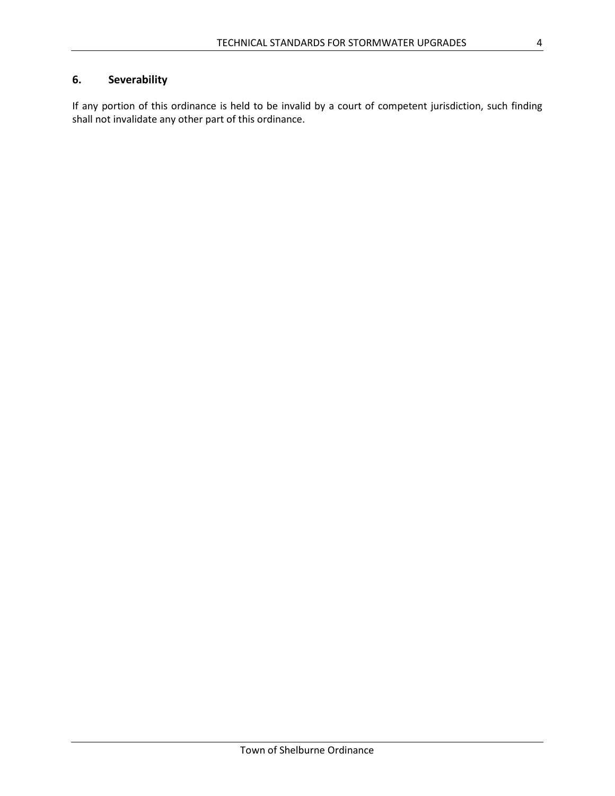### <span id="page-50-0"></span>**6. Severability**

If any portion of this ordinance is held to be invalid by a court of competent jurisdiction, such finding shall not invalidate any other part of this ordinance.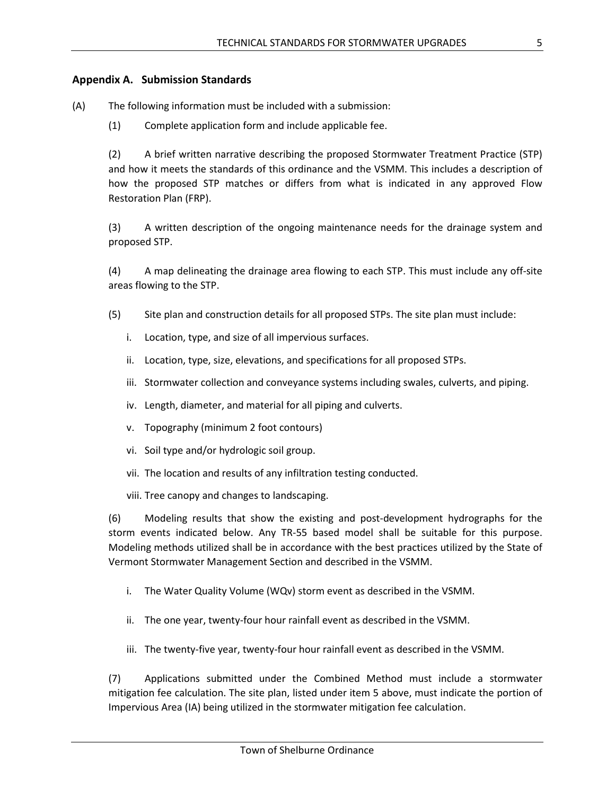#### <span id="page-51-0"></span>**Appendix A. Submission Standards**

(A) The following information must be included with a submission:

(1) Complete application form and include applicable fee.

(2) A brief written narrative describing the proposed Stormwater Treatment Practice (STP) and how it meets the standards of this ordinance and the VSMM. This includes a description of how the proposed STP matches or differs from what is indicated in any approved Flow Restoration Plan (FRP).

(3) A written description of the ongoing maintenance needs for the drainage system and proposed STP.

(4) A map delineating the drainage area flowing to each STP. This must include any off-site areas flowing to the STP.

- (5) Site plan and construction details for all proposed STPs. The site plan must include:
	- i. Location, type, and size of all impervious surfaces.
	- ii. Location, type, size, elevations, and specifications for all proposed STPs.
	- iii. Stormwater collection and conveyance systems including swales, culverts, and piping.
	- iv. Length, diameter, and material for all piping and culverts.
	- v. Topography (minimum 2 foot contours)
	- vi. Soil type and/or hydrologic soil group.
	- vii. The location and results of any infiltration testing conducted.
	- viii. Tree canopy and changes to landscaping.

(6) Modeling results that show the existing and post-development hydrographs for the storm events indicated below. Any TR-55 based model shall be suitable for this purpose. Modeling methods utilized shall be in accordance with the best practices utilized by the State of Vermont Stormwater Management Section and described in the VSMM.

- i. The Water Quality Volume (WQv) storm event as described in the VSMM.
- ii. The one year, twenty-four hour rainfall event as described in the VSMM.
- iii. The twenty-five year, twenty-four hour rainfall event as described in the VSMM.

(7) Applications submitted under the Combined Method must include a stormwater mitigation fee calculation. The site plan, listed under item 5 above, must indicate the portion of Impervious Area (IA) being utilized in the stormwater mitigation fee calculation.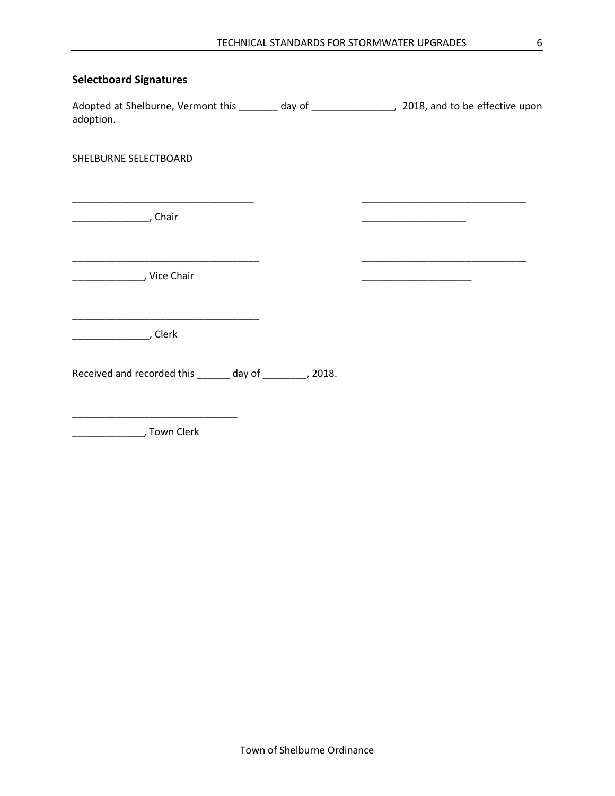#### <span id="page-52-0"></span>**Selectboard Signatures**

Adopted at Shelburne, Vermont this \_\_\_\_\_\_\_ day of \_\_\_\_\_\_\_\_\_\_\_\_\_\_\_, 2018, and to be effective upon adoption.

\_\_\_\_\_\_\_\_\_\_\_\_\_\_\_\_\_\_\_\_\_\_\_\_\_\_\_\_\_\_\_\_\_ \_\_\_\_\_\_\_\_\_\_\_\_\_\_\_\_\_\_\_\_\_\_\_\_\_\_\_\_\_\_

\_\_\_\_\_\_\_\_\_\_\_\_\_\_\_\_\_\_\_\_\_\_\_\_\_\_\_\_\_\_\_\_\_\_ \_\_\_\_\_\_\_\_\_\_\_\_\_\_\_\_\_\_\_\_\_\_\_\_\_\_\_\_\_\_

SHELBURNE SELECTBOARD

\_\_\_\_\_\_\_\_\_\_\_\_\_\_, Chair \_\_\_\_\_\_\_\_\_\_\_\_\_\_\_\_\_\_\_

\_\_\_\_\_\_\_\_\_\_\_\_\_, Vice Chair \_\_\_\_\_\_\_\_\_\_\_\_\_\_\_\_\_\_\_\_

\_\_\_\_\_\_\_\_\_\_\_\_\_\_\_\_\_\_\_\_\_\_\_\_\_\_\_\_\_\_\_\_\_\_

\_\_\_\_\_\_\_\_\_\_\_\_\_\_, Clerk

Received and recorded this \_\_\_\_\_\_ day of \_\_\_\_\_\_\_, 2018.

\_\_\_\_\_\_\_\_\_\_\_\_\_, Town Clerk

\_\_\_\_\_\_\_\_\_\_\_\_\_\_\_\_\_\_\_\_\_\_\_\_\_\_\_\_\_\_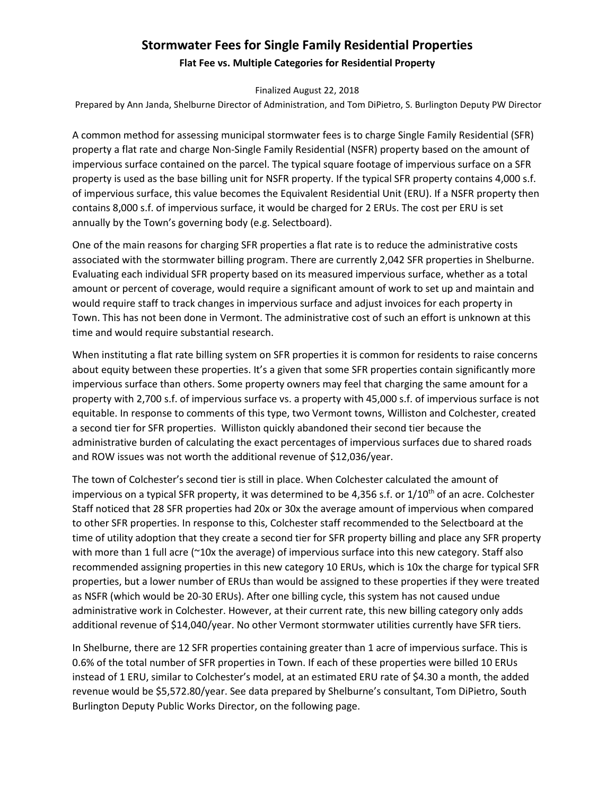#### **Stormwater Fees for Single Family Residential Properties Flat Fee vs. Multiple Categories for Residential Property**

Finalized August 22, 2018

Prepared by Ann Janda, Shelburne Director of Administration, and Tom DiPietro, S. Burlington Deputy PW Director

A common method for assessing municipal stormwater fees is to charge Single Family Residential (SFR) property a flat rate and charge Non-Single Family Residential (NSFR) property based on the amount of impervious surface contained on the parcel. The typical square footage of impervious surface on a SFR property is used as the base billing unit for NSFR property. If the typical SFR property contains 4,000 s.f. of impervious surface, this value becomes the Equivalent Residential Unit (ERU). If a NSFR property then contains 8,000 s.f. of impervious surface, it would be charged for 2 ERUs. The cost per ERU is set annually by the Town's governing body (e.g. Selectboard).

One of the main reasons for charging SFR properties a flat rate is to reduce the administrative costs associated with the stormwater billing program. There are currently 2,042 SFR properties in Shelburne. Evaluating each individual SFR property based on its measured impervious surface, whether as a total amount or percent of coverage, would require a significant amount of work to set up and maintain and would require staff to track changes in impervious surface and adjust invoices for each property in Town. This has not been done in Vermont. The administrative cost of such an effort is unknown at this time and would require substantial research.

When instituting a flat rate billing system on SFR properties it is common for residents to raise concerns about equity between these properties. It's a given that some SFR properties contain significantly more impervious surface than others. Some property owners may feel that charging the same amount for a property with 2,700 s.f. of impervious surface vs. a property with 45,000 s.f. of impervious surface is not equitable. In response to comments of this type, two Vermont towns, Williston and Colchester, created a second tier for SFR properties. Williston quickly abandoned their second tier because the administrative burden of calculating the exact percentages of impervious surfaces due to shared roads and ROW issues was not worth the additional revenue of \$12,036/year.

The town of Colchester's second tier is still in place. When Colchester calculated the amount of impervious on a typical SFR property, it was determined to be 4,356 s.f. or  $1/10^{th}$  of an acre. Colchester Staff noticed that 28 SFR properties had 20x or 30x the average amount of impervious when compared to other SFR properties. In response to this, Colchester staff recommended to the Selectboard at the time of utility adoption that they create a second tier for SFR property billing and place any SFR property with more than 1 full acre (~10x the average) of impervious surface into this new category. Staff also recommended assigning properties in this new category 10 ERUs, which is 10x the charge for typical SFR properties, but a lower number of ERUs than would be assigned to these properties if they were treated as NSFR (which would be 20-30 ERUs). After one billing cycle, this system has not caused undue administrative work in Colchester. However, at their current rate, this new billing category only adds additional revenue of \$14,040/year. No other Vermont stormwater utilities currently have SFR tiers.

In Shelburne, there are 12 SFR properties containing greater than 1 acre of impervious surface. This is 0.6% of the total number of SFR properties in Town. If each of these properties were billed 10 ERUs instead of 1 ERU, similar to Colchester's model, at an estimated ERU rate of \$4.30 a month, the added revenue would be \$5,572.80/year. See data prepared by Shelburne's consultant, Tom DiPietro, South Burlington Deputy Public Works Director, on the following page.